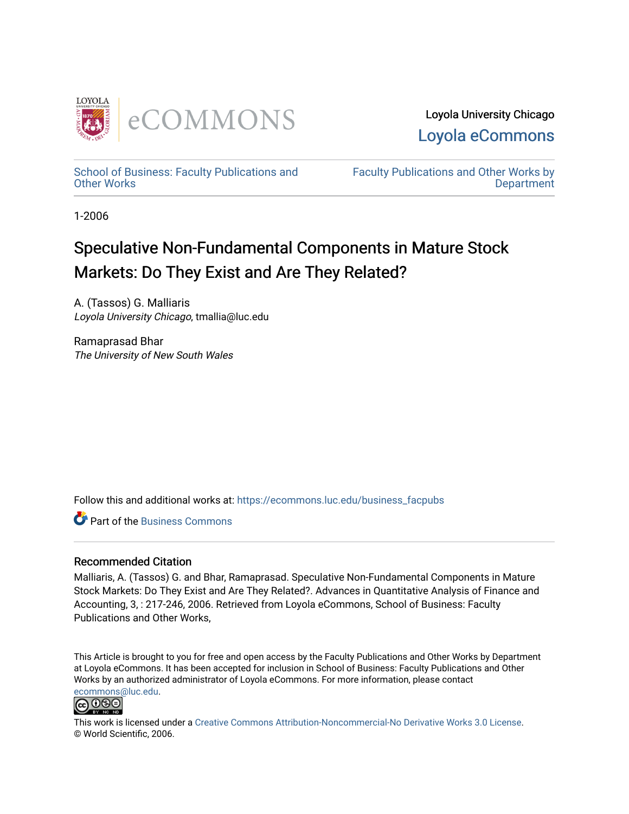

Loyola University Chicago [Loyola eCommons](https://ecommons.luc.edu/) 

[School of Business: Faculty Publications and](https://ecommons.luc.edu/business_facpubs) [Other Works](https://ecommons.luc.edu/business_facpubs)

[Faculty Publications and Other Works by](https://ecommons.luc.edu/faculty)  **Department** 

1-2006

# Speculative Non-Fundamental Components in Mature Stock Markets: Do They Exist and Are They Related?

A. (Tassos) G. Malliaris Loyola University Chicago, tmallia@luc.edu

Ramaprasad Bhar The University of New South Wales

Follow this and additional works at: [https://ecommons.luc.edu/business\\_facpubs](https://ecommons.luc.edu/business_facpubs?utm_source=ecommons.luc.edu%2Fbusiness_facpubs%2F175&utm_medium=PDF&utm_campaign=PDFCoverPages) 

**C** Part of the [Business Commons](http://network.bepress.com/hgg/discipline/622?utm_source=ecommons.luc.edu%2Fbusiness_facpubs%2F175&utm_medium=PDF&utm_campaign=PDFCoverPages)

#### Recommended Citation

Malliaris, A. (Tassos) G. and Bhar, Ramaprasad. Speculative Non-Fundamental Components in Mature Stock Markets: Do They Exist and Are They Related?. Advances in Quantitative Analysis of Finance and Accounting, 3, : 217-246, 2006. Retrieved from Loyola eCommons, School of Business: Faculty Publications and Other Works,

This Article is brought to you for free and open access by the Faculty Publications and Other Works by Department at Loyola eCommons. It has been accepted for inclusion in School of Business: Faculty Publications and Other Works by an authorized administrator of Loyola eCommons. For more information, please contact [ecommons@luc.edu](mailto:ecommons@luc.edu).



This work is licensed under a [Creative Commons Attribution-Noncommercial-No Derivative Works 3.0 License.](https://creativecommons.org/licenses/by-nc-nd/3.0/) © World Scientific, 2006.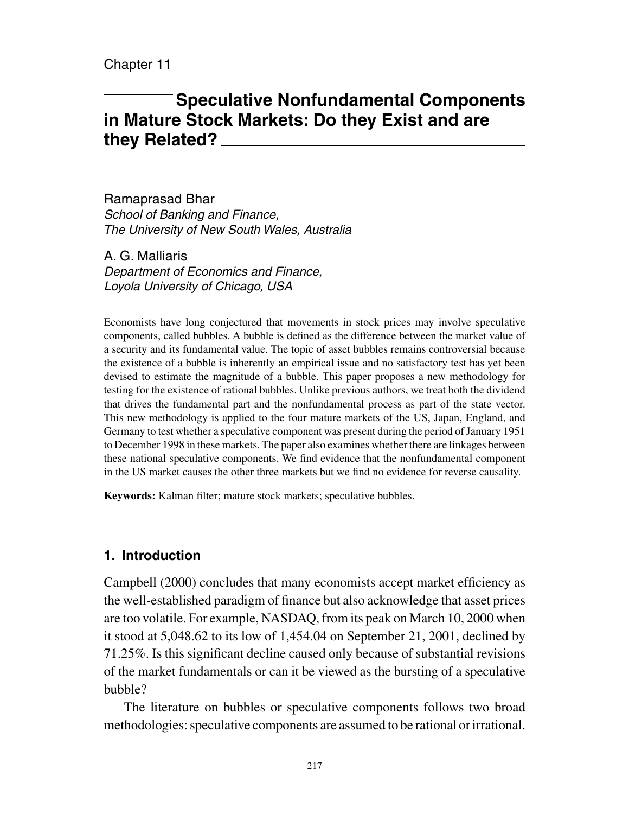## **Speculative Nonfundamental Components in Mature Stock Markets: Do they Exist and are they Related?**

Ramaprasad Bhar School of Banking and Finance, The University of New South Wales, Australia

A. G. Malliaris Department of Economics and Finance, Loyola University of Chicago, USA

Economists have long conjectured that movements in stock prices may involve speculative components, called bubbles. A bubble is defined as the difference between the market value of a security and its fundamental value. The topic of asset bubbles remains controversial because the existence of a bubble is inherently an empirical issue and no satisfactory test has yet been devised to estimate the magnitude of a bubble. This paper proposes a new methodology for testing for the existence of rational bubbles. Unlike previous authors, we treat both the dividend that drives the fundamental part and the nonfundamental process as part of the state vector. This new methodology is applied to the four mature markets of the US, Japan, England, and Germany to test whether a speculative component was present during the period of January 1951 to December 1998 in these markets. The paper also examines whether there are linkages between these national speculative components. We find evidence that the nonfundamental component in the US market causes the other three markets but we find no evidence for reverse causality.

**Keywords:** Kalman filter; mature stock markets; speculative bubbles.

## **1. Introduction**

Campbell (2000) concludes that many economists accept market efficiency as the well-established paradigm of finance but also acknowledge that asset prices are too volatile. For example, NASDAQ, from its peak on March 10, 2000 when it stood at 5,048.62 to its low of 1,454.04 on September 21, 2001, declined by 71.25%. Is this significant decline caused only because of substantial revisions of the market fundamentals or can it be viewed as the bursting of a speculative bubble?

The literature on bubbles or speculative components follows two broad methodologies: speculative components are assumed to be rational or irrational.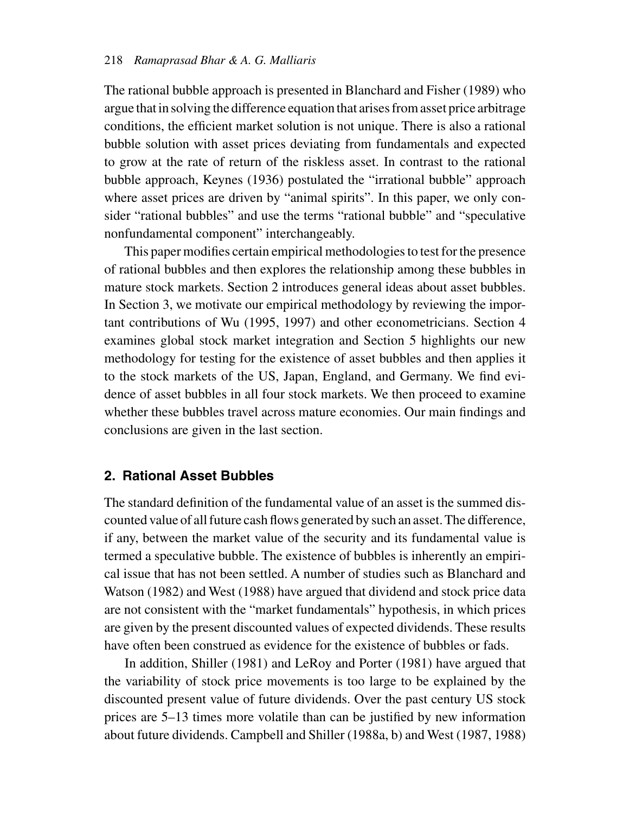The rational bubble approach is presented in Blanchard and Fisher (1989) who argue that in solving the difference equation that arises from asset price arbitrage conditions, the efficient market solution is not unique. There is also a rational bubble solution with asset prices deviating from fundamentals and expected to grow at the rate of return of the riskless asset. In contrast to the rational bubble approach, Keynes (1936) postulated the "irrational bubble" approach where asset prices are driven by "animal spirits". In this paper, we only consider "rational bubbles" and use the terms "rational bubble" and "speculative nonfundamental component" interchangeably.

This paper modifies certain empirical methodologies to test for the presence of rational bubbles and then explores the relationship among these bubbles in mature stock markets. Section 2 introduces general ideas about asset bubbles. In Section 3, we motivate our empirical methodology by reviewing the important contributions of Wu (1995, 1997) and other econometricians. Section 4 examines global stock market integration and Section 5 highlights our new methodology for testing for the existence of asset bubbles and then applies it to the stock markets of the US, Japan, England, and Germany. We find evidence of asset bubbles in all four stock markets. We then proceed to examine whether these bubbles travel across mature economies. Our main findings and conclusions are given in the last section.

#### **2. Rational Asset Bubbles**

The standard definition of the fundamental value of an asset is the summed discounted value of all future cash flows generated by such an asset. The difference, if any, between the market value of the security and its fundamental value is termed a speculative bubble. The existence of bubbles is inherently an empirical issue that has not been settled. A number of studies such as Blanchard and Watson (1982) and West (1988) have argued that dividend and stock price data are not consistent with the "market fundamentals" hypothesis, in which prices are given by the present discounted values of expected dividends. These results have often been construed as evidence for the existence of bubbles or fads.

In addition, Shiller (1981) and LeRoy and Porter (1981) have argued that the variability of stock price movements is too large to be explained by the discounted present value of future dividends. Over the past century US stock prices are 5–13 times more volatile than can be justified by new information about future dividends. Campbell and Shiller (1988a, b) and West (1987, 1988)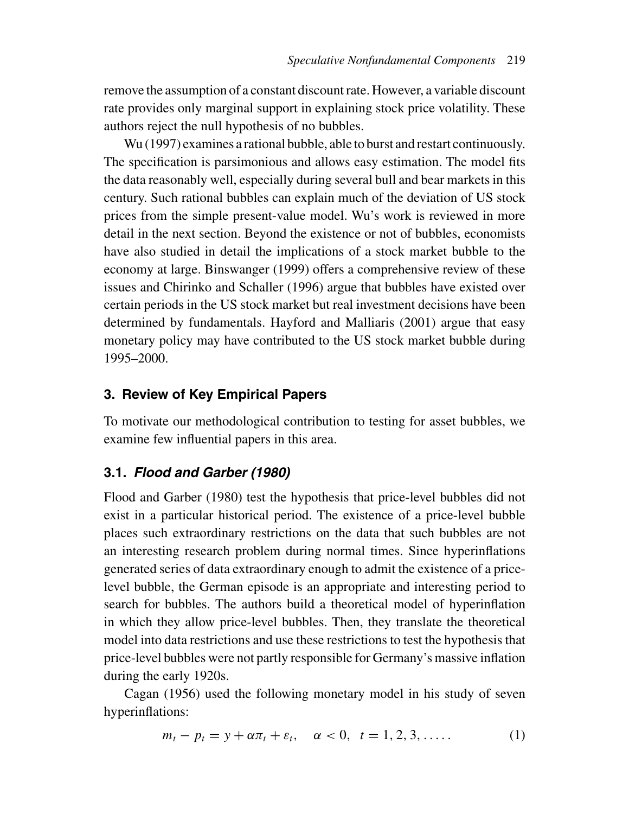remove the assumption of a constant discount rate. However, a variable discount rate provides only marginal support in explaining stock price volatility. These authors reject the null hypothesis of no bubbles.

Wu (1997) examines a rational bubble, able to burst and restart continuously. The specification is parsimonious and allows easy estimation. The model fits the data reasonably well, especially during several bull and bear markets in this century. Such rational bubbles can explain much of the deviation of US stock prices from the simple present-value model. Wu's work is reviewed in more detail in the next section. Beyond the existence or not of bubbles, economists have also studied in detail the implications of a stock market bubble to the economy at large. Binswanger (1999) offers a comprehensive review of these issues and Chirinko and Schaller (1996) argue that bubbles have existed over certain periods in the US stock market but real investment decisions have been determined by fundamentals. Hayford and Malliaris (2001) argue that easy monetary policy may have contributed to the US stock market bubble during 1995–2000.

## **3. Review of Key Empirical Papers**

To motivate our methodological contribution to testing for asset bubbles, we examine few influential papers in this area.

## **3.1. Flood and Garber (1980)**

Flood and Garber (1980) test the hypothesis that price-level bubbles did not exist in a particular historical period. The existence of a price-level bubble places such extraordinary restrictions on the data that such bubbles are not an interesting research problem during normal times. Since hyperinflations generated series of data extraordinary enough to admit the existence of a pricelevel bubble, the German episode is an appropriate and interesting period to search for bubbles. The authors build a theoretical model of hyperinflation in which they allow price-level bubbles. Then, they translate the theoretical model into data restrictions and use these restrictions to test the hypothesis that price-level bubbles were not partly responsible for Germany's massive inflation during the early 1920s.

Cagan (1956) used the following monetary model in his study of seven hyperinflations:

$$
m_t - p_t = y + \alpha \pi_t + \varepsilon_t, \quad \alpha < 0, \ t = 1, 2, 3, \dots \tag{1}
$$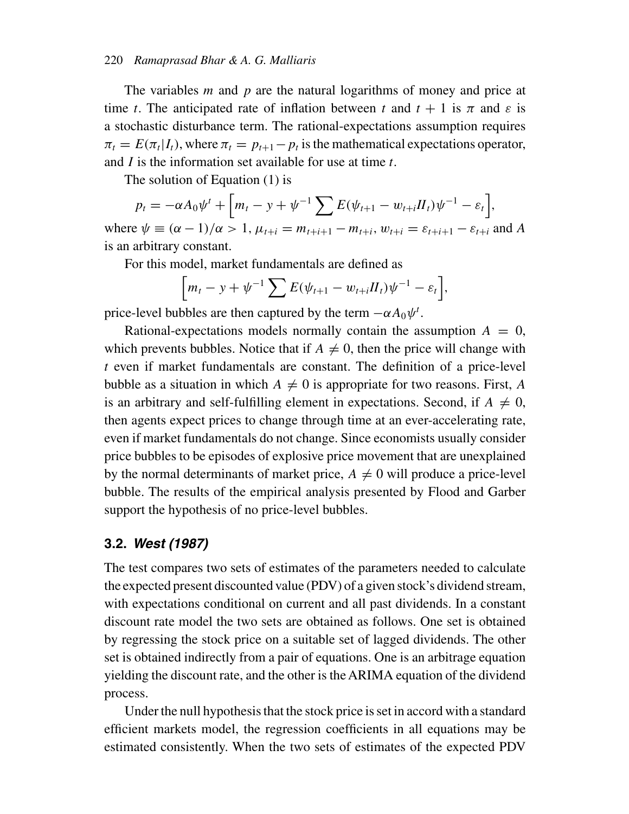#### 220 *Ramaprasad Bhar & A. G. Malliaris*

The variables  $m$  and  $p$  are the natural logarithms of money and price at time t. The anticipated rate of inflation between t and  $t + 1$  is  $\pi$  and  $\varepsilon$  is a stochastic disturbance term. The rational-expectations assumption requires  $\pi_t = E(\pi_t | I_t)$ , where  $\pi_t = p_{t+1} - p_t$  is the mathematical expectations operator, and  $I$  is the information set available for use at time  $t$ .

The solution of Equation (1) is

$$
p_t = -\alpha A_0 \psi^t + \left[ m_t - y + \psi^{-1} \sum E(\psi_{t+1} - w_{t+i} H_t) \psi^{-1} - \varepsilon_t \right],
$$

where  $\psi \equiv (\alpha - 1)/\alpha > 1$ ,  $\mu_{t+i} = m_{t+i+1} - m_{t+i}$ ,  $w_{t+i} = \varepsilon_{t+i+1} - \varepsilon_{t+i}$  and A is an arbitrary constant.

For this model, market fundamentals are defined as

$$
\Big[m_t - y + \psi^{-1} \sum E(\psi_{t+1} - w_{t+i} H_t) \psi^{-1} - \varepsilon_t\Big],
$$

price-level bubbles are then captured by the term  $-\alpha A_0 \psi^t$ .

Rational-expectations models normally contain the assumption  $A = 0$ , which prevents bubbles. Notice that if  $A \neq 0$ , then the price will change with t even if market fundamentals are constant. The definition of a price-level bubble as a situation in which  $A \neq 0$  is appropriate for two reasons. First, A is an arbitrary and self-fulfilling element in expectations. Second, if  $A \neq 0$ , then agents expect prices to change through time at an ever-accelerating rate, even if market fundamentals do not change. Since economists usually consider price bubbles to be episodes of explosive price movement that are unexplained by the normal determinants of market price,  $A \neq 0$  will produce a price-level bubble. The results of the empirical analysis presented by Flood and Garber support the hypothesis of no price-level bubbles.

#### **3.2. West (1987)**

The test compares two sets of estimates of the parameters needed to calculate the expected present discounted value (PDV) of a given stock's dividend stream, with expectations conditional on current and all past dividends. In a constant discount rate model the two sets are obtained as follows. One set is obtained by regressing the stock price on a suitable set of lagged dividends. The other set is obtained indirectly from a pair of equations. One is an arbitrage equation yielding the discount rate, and the other is the ARIMA equation of the dividend process.

Under the null hypothesis that the stock price is set in accord with a standard efficient markets model, the regression coefficients in all equations may be estimated consistently. When the two sets of estimates of the expected PDV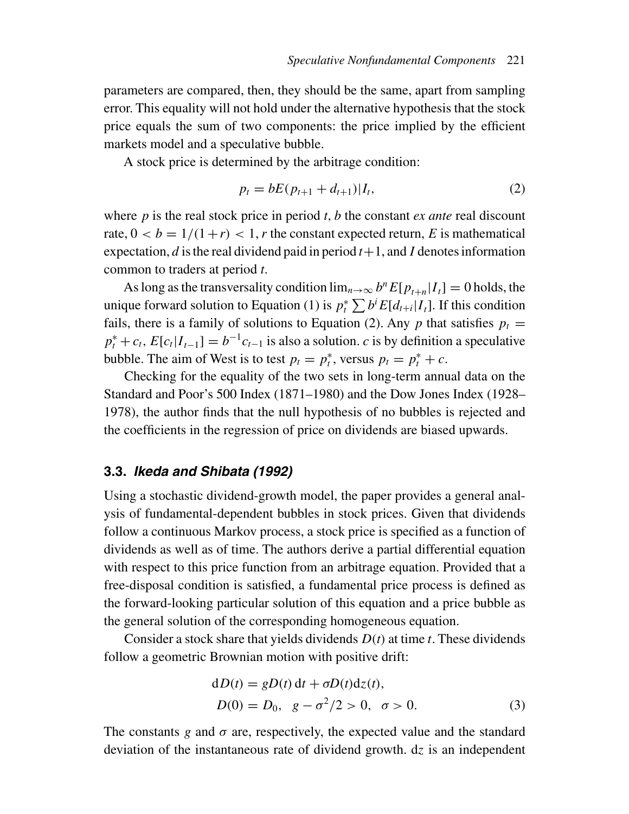parameters are compared, then, they should be the same, apart from sampling error. This equality will not hold under the alternative hypothesis that the stock price equals the sum of two components: the price implied by the efficient markets model and a speculative bubble.

A stock price is determined by the arbitrage condition:

$$
p_t = bE(p_{t+1} + d_{t+1})|I_t,
$$
\n(2)

where p is the real stock price in period t, b the constant *ex ante* real discount rate,  $0 < b = 1/(1+r) < 1$ , r the constant expected return, E is mathematical expectation,  $d$  is the real dividend paid in period  $t+1$ , and I denotes information common to traders at period t.

As long as the transversality condition  $\lim_{n\to\infty} b^n E[p_{t+n}|I_t] = 0$  holds, the unique forward solution to Equation (1) is  $p_t^* \sum b^i E[d_{t+i}|I_t]$ . If this condition fails, there is a family of solutions to Equation (2). Any p that satisfies  $p_t =$  $p_t^* + c_t$ ,  $E[c_t|I_{t-1}] = b^{-1}c_{t-1}$  is also a solution. *c* is by definition a speculative bubble. The aim of West is to test  $p_t = p_t^*$ , versus  $p_t = p_t^* + c$ .

Checking for the equality of the two sets in long-term annual data on the Standard and Poor's 500 Index (1871–1980) and the Dow Jones Index (1928– 1978), the author finds that the null hypothesis of no bubbles is rejected and the coefficients in the regression of price on dividends are biased upwards.

#### **3.3. Ikeda and Shibata (1992)**

Using a stochastic dividend-growth model, the paper provides a general analysis of fundamental-dependent bubbles in stock prices. Given that dividends follow a continuous Markov process, a stock price is specified as a function of dividends as well as of time. The authors derive a partial differential equation with respect to this price function from an arbitrage equation. Provided that a free-disposal condition is satisfied, a fundamental price process is defined as the forward-looking particular solution of this equation and a price bubble as the general solution of the corresponding homogeneous equation.

Consider a stock share that yields dividends  $D(t)$  at time t. These dividends follow a geometric Brownian motion with positive drift:

$$
dD(t) = gD(t) dt + \sigma D(t) dz(t),
$$
  
\n
$$
D(0) = D_0, \quad g - \sigma^2/2 > 0, \quad \sigma > 0.
$$
\n(3)

The constants g and  $\sigma$  are, respectively, the expected value and the standard deviation of the instantaneous rate of dividend growth. dz is an independent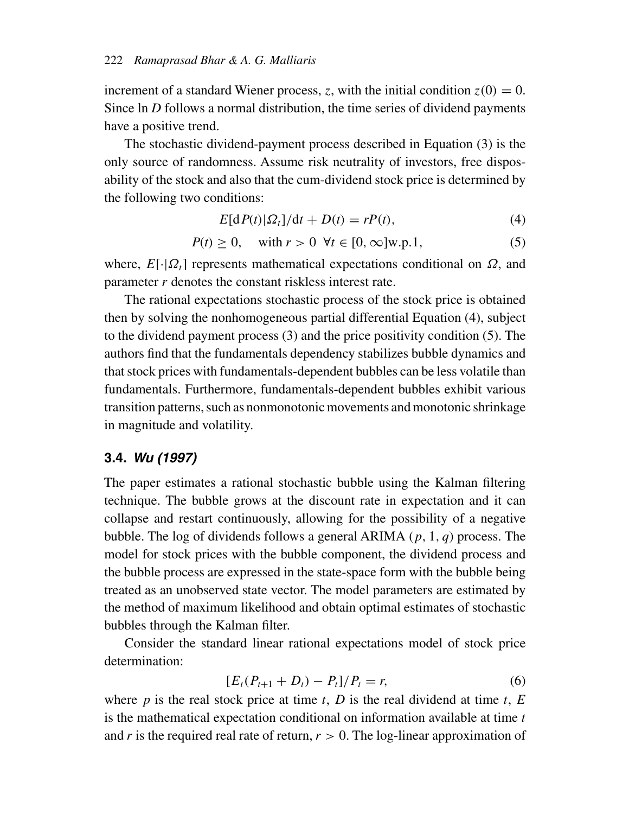increment of a standard Wiener process, z, with the initial condition  $z(0) = 0$ . Since ln D follows a normal distribution, the time series of dividend payments have a positive trend.

The stochastic dividend-payment process described in Equation (3) is the only source of randomness. Assume risk neutrality of investors, free disposability of the stock and also that the cum-dividend stock price is determined by the following two conditions:

$$
E[dP(t)|\Omega_t]/dt + D(t) = rP(t),
$$
\n(4)

$$
P(t) \ge 0, \quad \text{with } r > 0 \ \forall t \in [0, \infty] \le p.1,\tag{5}
$$

where,  $E[\cdot|\Omega_t]$  represents mathematical expectations conditional on  $\Omega$ , and parameter r denotes the constant riskless interest rate.

The rational expectations stochastic process of the stock price is obtained then by solving the nonhomogeneous partial differential Equation (4), subject to the dividend payment process (3) and the price positivity condition (5). The authors find that the fundamentals dependency stabilizes bubble dynamics and that stock prices with fundamentals-dependent bubbles can be less volatile than fundamentals. Furthermore, fundamentals-dependent bubbles exhibit various transition patterns, such as nonmonotonic movements and monotonic shrinkage in magnitude and volatility.

#### **3.4. Wu (1997)**

The paper estimates a rational stochastic bubble using the Kalman filtering technique. The bubble grows at the discount rate in expectation and it can collapse and restart continuously, allowing for the possibility of a negative bubble. The log of dividends follows a general ARIMA  $(p, 1, q)$  process. The model for stock prices with the bubble component, the dividend process and the bubble process are expressed in the state-space form with the bubble being treated as an unobserved state vector. The model parameters are estimated by the method of maximum likelihood and obtain optimal estimates of stochastic bubbles through the Kalman filter.

Consider the standard linear rational expectations model of stock price determination:

$$
[E_t(P_{t+1} + D_t) - P_t]/P_t = r,
$$
\n(6)

where p is the real stock price at time t, D is the real dividend at time t, E is the mathematical expectation conditional on information available at time t and r is the required real rate of return,  $r > 0$ . The log-linear approximation of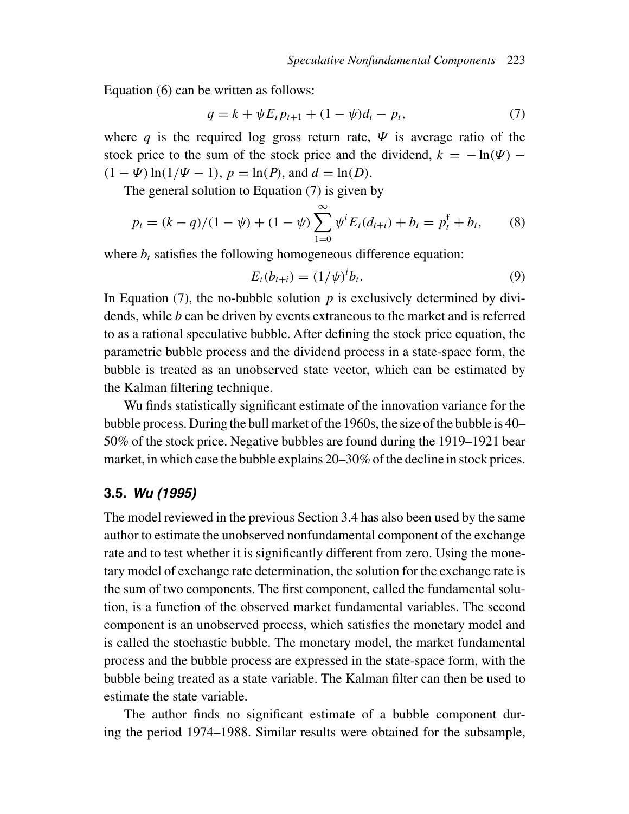Equation (6) can be written as follows:

$$
q = k + \psi E_t p_{t+1} + (1 - \psi)d_t - p_t, \tag{7}
$$

where q is the required log gross return rate,  $\Psi$  is average ratio of the stock price to the sum of the stock price and the dividend,  $k = -\ln(\Psi)$  –  $(1 - \Psi) \ln(1/\Psi - 1), p = \ln(P)$ , and  $d = \ln(D)$ .

The general solution to Equation (7) is given by

$$
p_t = (k - q)/(1 - \psi) + (1 - \psi) \sum_{1=0}^{\infty} \psi^i E_t(d_{t+i}) + b_t = p_t^f + b_t, \qquad (8)
$$

where  $b_t$  satisfies the following homogeneous difference equation:

$$
E_t(b_{t+i}) = (1/\psi)^i b_t.
$$
 (9)

In Equation (7), the no-bubble solution  $p$  is exclusively determined by dividends, while *b* can be driven by events extraneous to the market and is referred to as a rational speculative bubble. After defining the stock price equation, the parametric bubble process and the dividend process in a state-space form, the bubble is treated as an unobserved state vector, which can be estimated by the Kalman filtering technique.

Wu finds statistically significant estimate of the innovation variance for the bubble process. During the bull market of the 1960s, the size of the bubble is 40– 50% of the stock price. Negative bubbles are found during the 1919–1921 bear market, in which case the bubble explains 20–30% of the decline in stock prices.

#### **3.5. Wu (1995)**

The model reviewed in the previous Section 3.4 has also been used by the same author to estimate the unobserved nonfundamental component of the exchange rate and to test whether it is significantly different from zero. Using the monetary model of exchange rate determination, the solution for the exchange rate is the sum of two components. The first component, called the fundamental solution, is a function of the observed market fundamental variables. The second component is an unobserved process, which satisfies the monetary model and is called the stochastic bubble. The monetary model, the market fundamental process and the bubble process are expressed in the state-space form, with the bubble being treated as a state variable. The Kalman filter can then be used to estimate the state variable.

The author finds no significant estimate of a bubble component during the period 1974–1988. Similar results were obtained for the subsample,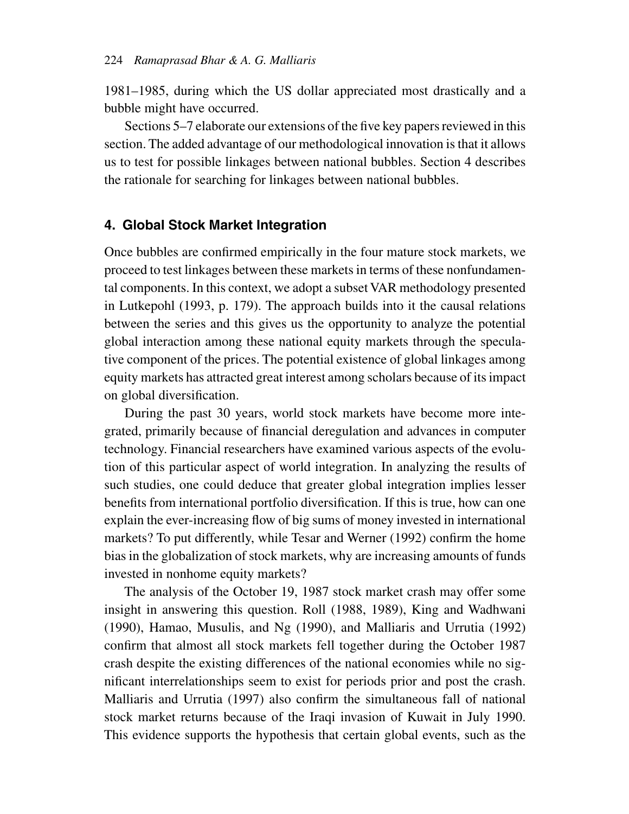1981–1985, during which the US dollar appreciated most drastically and a bubble might have occurred.

Sections 5–7 elaborate our extensions of the five key papers reviewed in this section. The added advantage of our methodological innovation is that it allows us to test for possible linkages between national bubbles. Section 4 describes the rationale for searching for linkages between national bubbles.

#### **4. Global Stock Market Integration**

Once bubbles are confirmed empirically in the four mature stock markets, we proceed to test linkages between these markets in terms of these nonfundamental components. In this context, we adopt a subset VAR methodology presented in Lutkepohl (1993, p. 179). The approach builds into it the causal relations between the series and this gives us the opportunity to analyze the potential global interaction among these national equity markets through the speculative component of the prices. The potential existence of global linkages among equity markets has attracted great interest among scholars because of its impact on global diversification.

During the past 30 years, world stock markets have become more integrated, primarily because of financial deregulation and advances in computer technology. Financial researchers have examined various aspects of the evolution of this particular aspect of world integration. In analyzing the results of such studies, one could deduce that greater global integration implies lesser benefits from international portfolio diversification. If this is true, how can one explain the ever-increasing flow of big sums of money invested in international markets? To put differently, while Tesar and Werner (1992) confirm the home bias in the globalization of stock markets, why are increasing amounts of funds invested in nonhome equity markets?

The analysis of the October 19, 1987 stock market crash may offer some insight in answering this question. Roll (1988, 1989), King and Wadhwani (1990), Hamao, Musulis, and Ng (1990), and Malliaris and Urrutia (1992) confirm that almost all stock markets fell together during the October 1987 crash despite the existing differences of the national economies while no significant interrelationships seem to exist for periods prior and post the crash. Malliaris and Urrutia (1997) also confirm the simultaneous fall of national stock market returns because of the Iraqi invasion of Kuwait in July 1990. This evidence supports the hypothesis that certain global events, such as the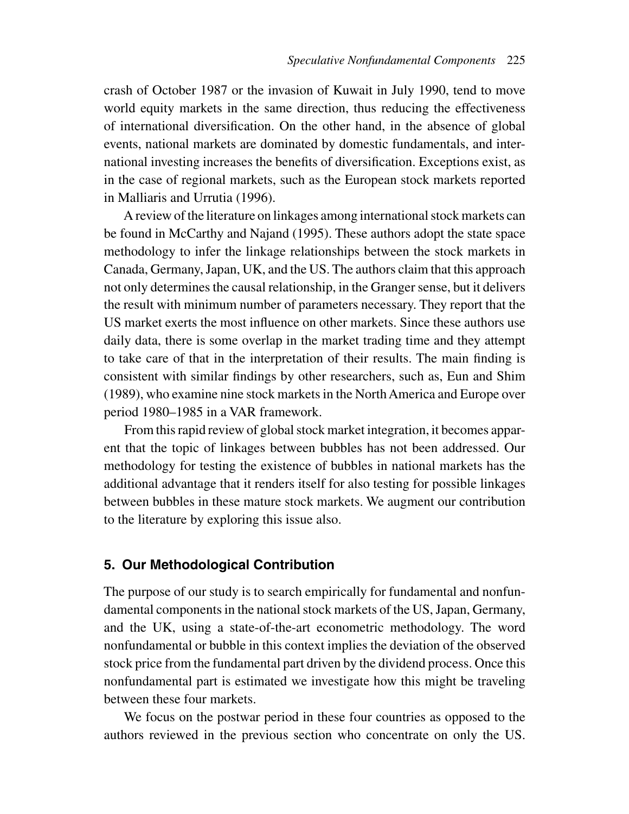crash of October 1987 or the invasion of Kuwait in July 1990, tend to move world equity markets in the same direction, thus reducing the effectiveness of international diversification. On the other hand, in the absence of global events, national markets are dominated by domestic fundamentals, and international investing increases the benefits of diversification. Exceptions exist, as in the case of regional markets, such as the European stock markets reported in Malliaris and Urrutia (1996).

A review of the literature on linkages among international stock markets can be found in McCarthy and Najand (1995). These authors adopt the state space methodology to infer the linkage relationships between the stock markets in Canada, Germany, Japan, UK, and the US. The authors claim that this approach not only determines the causal relationship, in the Granger sense, but it delivers the result with minimum number of parameters necessary. They report that the US market exerts the most influence on other markets. Since these authors use daily data, there is some overlap in the market trading time and they attempt to take care of that in the interpretation of their results. The main finding is consistent with similar findings by other researchers, such as, Eun and Shim (1989), who examine nine stock markets in the North America and Europe over period 1980–1985 in a VAR framework.

From this rapid review of global stock market integration, it becomes apparent that the topic of linkages between bubbles has not been addressed. Our methodology for testing the existence of bubbles in national markets has the additional advantage that it renders itself for also testing for possible linkages between bubbles in these mature stock markets. We augment our contribution to the literature by exploring this issue also.

#### **5. Our Methodological Contribution**

The purpose of our study is to search empirically for fundamental and nonfundamental components in the national stock markets of the US, Japan, Germany, and the UK, using a state-of-the-art econometric methodology. The word nonfundamental or bubble in this context implies the deviation of the observed stock price from the fundamental part driven by the dividend process. Once this nonfundamental part is estimated we investigate how this might be traveling between these four markets.

We focus on the postwar period in these four countries as opposed to the authors reviewed in the previous section who concentrate on only the US.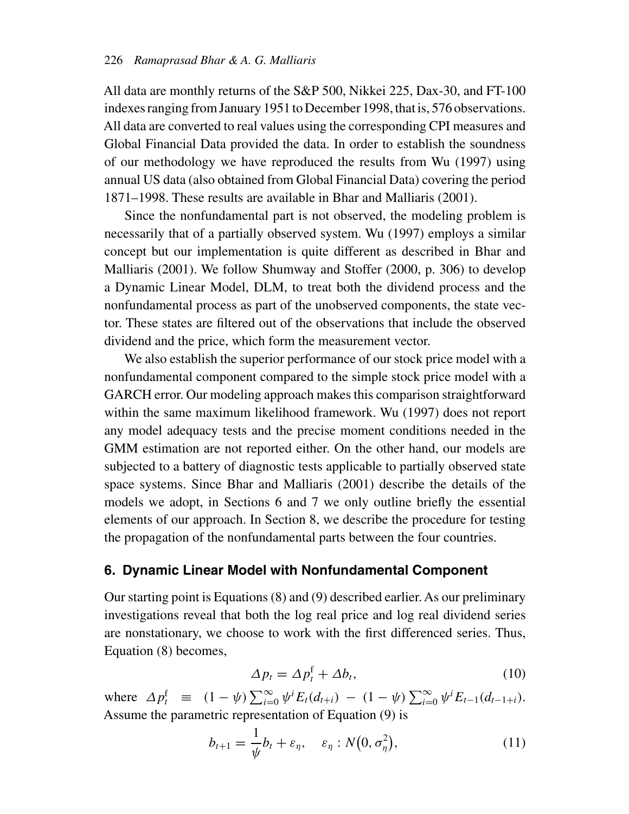All data are monthly returns of the S&P 500, Nikkei 225, Dax-30, and FT-100 indexes ranging from January 1951 to December 1998, that is, 576 observations. All data are converted to real values using the corresponding CPI measures and Global Financial Data provided the data. In order to establish the soundness of our methodology we have reproduced the results from Wu (1997) using annual US data (also obtained from Global Financial Data) covering the period 1871–1998. These results are available in Bhar and Malliaris (2001).

Since the nonfundamental part is not observed, the modeling problem is necessarily that of a partially observed system. Wu (1997) employs a similar concept but our implementation is quite different as described in Bhar and Malliaris (2001). We follow Shumway and Stoffer (2000, p. 306) to develop a Dynamic Linear Model, DLM, to treat both the dividend process and the nonfundamental process as part of the unobserved components, the state vector. These states are filtered out of the observations that include the observed dividend and the price, which form the measurement vector.

We also establish the superior performance of our stock price model with a nonfundamental component compared to the simple stock price model with a GARCH error. Our modeling approach makes this comparison straightforward within the same maximum likelihood framework. Wu (1997) does not report any model adequacy tests and the precise moment conditions needed in the GMM estimation are not reported either. On the other hand, our models are subjected to a battery of diagnostic tests applicable to partially observed state space systems. Since Bhar and Malliaris (2001) describe the details of the models we adopt, in Sections 6 and 7 we only outline briefly the essential elements of our approach. In Section 8, we describe the procedure for testing the propagation of the nonfundamental parts between the four countries.

#### **6. Dynamic Linear Model with Nonfundamental Component**

Our starting point is Equations (8) and (9) described earlier. As our preliminary investigations reveal that both the log real price and log real dividend series are nonstationary, we choose to work with the first differenced series. Thus, Equation (8) becomes,

$$
\Delta p_t = \Delta p_t^{\text{f}} + \Delta b_t,\tag{10}
$$

where  $\Delta p_t^f \equiv (1 - \psi) \sum_{i=0}^{\infty} \psi^i E_t(d_{t+i}) - (1 - \psi) \sum_{i=0}^{\infty} \psi^i E_{t-1}(d_{t-1+i}).$ Assume the parametric representation of Equation (9) is

$$
b_{t+1} = \frac{1}{\psi} b_t + \varepsilon_\eta, \quad \varepsilon_\eta : N(0, \sigma_\eta^2), \tag{11}
$$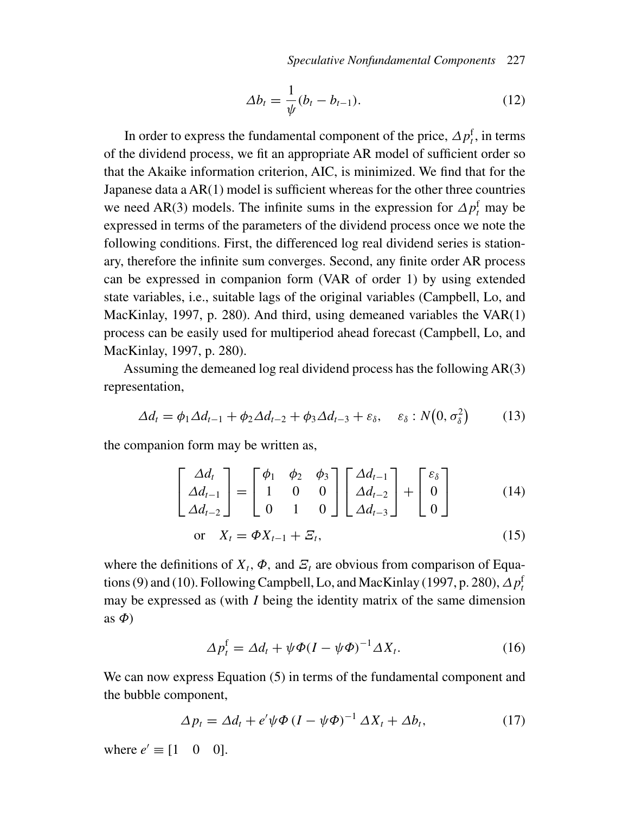*Speculative Nonfundamental Components* 227

$$
\Delta b_t = \frac{1}{\psi} (b_t - b_{t-1}).
$$
\n(12)

In order to express the fundamental component of the price,  $\Delta p_t^{\text{f}}$ , in terms of the dividend process, we fit an appropriate AR model of sufficient order so that the Akaike information criterion, AIC, is minimized. We find that for the Japanese data a AR(1) model is sufficient whereas for the other three countries we need AR(3) models. The infinite sums in the expression for  $\Delta p_t^{\text{f}}$  may be expressed in terms of the parameters of the dividend process once we note the following conditions. First, the differenced log real dividend series is stationary, therefore the infinite sum converges. Second, any finite order AR process can be expressed in companion form (VAR of order 1) by using extended state variables, i.e., suitable lags of the original variables (Campbell, Lo, and MacKinlay, 1997, p. 280). And third, using demeaned variables the VAR(1) process can be easily used for multiperiod ahead forecast (Campbell, Lo, and MacKinlay, 1997, p. 280).

Assuming the demeaned log real dividend process has the following AR(3) representation,

$$
\Delta d_t = \phi_1 \Delta d_{t-1} + \phi_2 \Delta d_{t-2} + \phi_3 \Delta d_{t-3} + \varepsilon_\delta, \quad \varepsilon_\delta : N(0, \sigma_\delta^2)
$$
(13)

the companion form may be written as,

$$
\begin{bmatrix}\n\Delta d_t \\
\Delta d_{t-1} \\
\Delta d_{t-2}\n\end{bmatrix} = \begin{bmatrix}\n\phi_1 & \phi_2 & \phi_3 \\
1 & 0 & 0 \\
0 & 1 & 0\n\end{bmatrix} \begin{bmatrix}\n\Delta d_{t-1} \\
\Delta d_{t-2} \\
\Delta d_{t-3}\n\end{bmatrix} + \begin{bmatrix}\n\varepsilon_\delta \\
0 \\
0\n\end{bmatrix}
$$
\nor\n
$$
X_t = \Phi X_{t-1} + \Xi_t,
$$
\n(15)

where the definitions of 
$$
X_t
$$
,  $\Phi$ , and  $\Xi_t$  are obvious from comparison of Equations (9) and (10). Following Campbell, Lo, and MacKinlay (1997, p. 280),  $\Delta p_t^f$  may be expressed as (with *I* being the identity matrix of the same dimension as  $\Phi$ )

$$
\Delta p_t^{\rm f} = \Delta d_t + \psi \Phi (I - \psi \Phi)^{-1} \Delta X_t.
$$
 (16)

We can now express Equation  $(5)$  in terms of the fundamental component and the bubble component,

$$
\Delta p_t = \Delta d_t + e^{\prime} \psi \Phi (I - \psi \Phi)^{-1} \Delta X_t + \Delta b_t, \qquad (17)
$$

where  $e' \equiv [1 \ 0 \ 0].$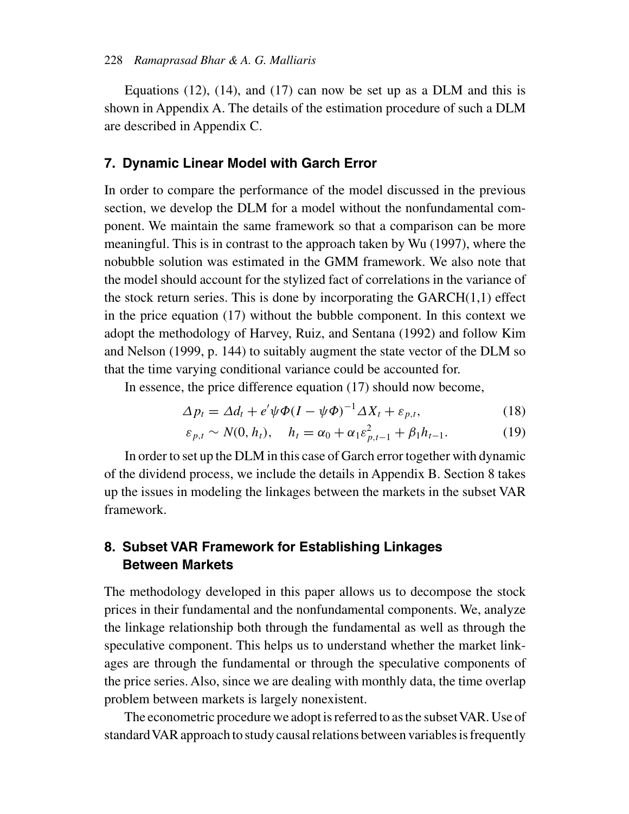#### 228 *Ramaprasad Bhar & A. G. Malliaris*

Equations  $(12)$ ,  $(14)$ , and  $(17)$  can now be set up as a DLM and this is shown in Appendix A. The details of the estimation procedure of such a DLM are described in Appendix C.

#### **7. Dynamic Linear Model with Garch Error**

In order to compare the performance of the model discussed in the previous section, we develop the DLM for a model without the nonfundamental component. We maintain the same framework so that a comparison can be more meaningful. This is in contrast to the approach taken by Wu (1997), where the nobubble solution was estimated in the GMM framework. We also note that the model should account for the stylized fact of correlations in the variance of the stock return series. This is done by incorporating the  $GARCH(1,1)$  effect in the price equation (17) without the bubble component. In this context we adopt the methodology of Harvey, Ruiz, and Sentana (1992) and follow Kim and Nelson (1999, p. 144) to suitably augment the state vector of the DLM so that the time varying conditional variance could be accounted for.

In essence, the price difference equation (17) should now become,

$$
\Delta p_t = \Delta d_t + e^{\prime} \psi \Phi (I - \psi \Phi)^{-1} \Delta X_t + \varepsilon_{p,t}, \qquad (18)
$$

$$
\varepsilon_{p,t} \sim N(0, h_t), \quad h_t = \alpha_0 + \alpha_1 \varepsilon_{p,t-1}^2 + \beta_1 h_{t-1}.
$$
 (19)

In order to set up the DLM in this case of Garch error together with dynamic of the dividend process, we include the details in Appendix B. Section 8 takes up the issues in modeling the linkages between the markets in the subset VAR framework.

## **8. Subset VAR Framework for Establishing Linkages Between Markets**

The methodology developed in this paper allows us to decompose the stock prices in their fundamental and the nonfundamental components. We, analyze the linkage relationship both through the fundamental as well as through the speculative component. This helps us to understand whether the market linkages are through the fundamental or through the speculative components of the price series. Also, since we are dealing with monthly data, the time overlap problem between markets is largely nonexistent.

The econometric procedure we adopt is referred to as the subset VAR. Use of standardVAR approach to study causal relations between variables is frequently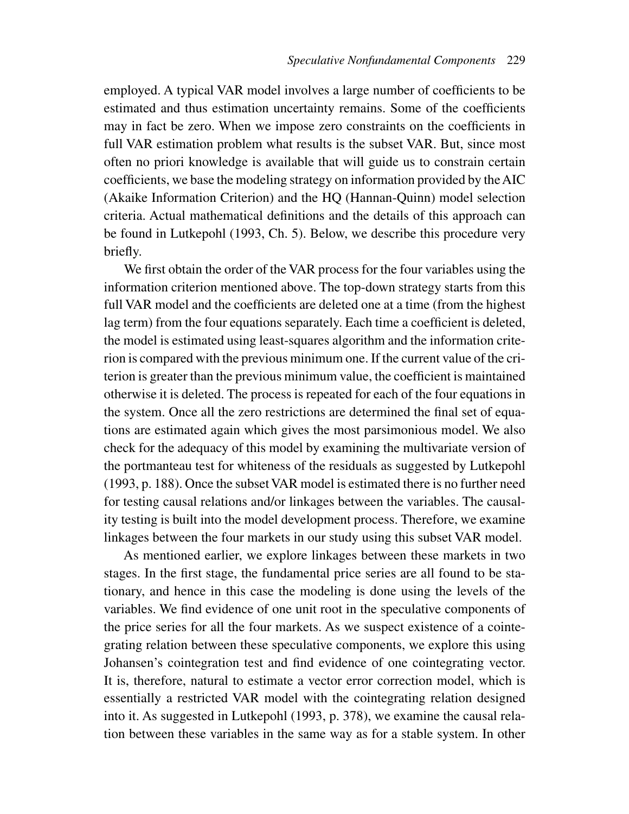employed. A typical VAR model involves a large number of coefficients to be estimated and thus estimation uncertainty remains. Some of the coefficients may in fact be zero. When we impose zero constraints on the coefficients in full VAR estimation problem what results is the subset VAR. But, since most often no priori knowledge is available that will guide us to constrain certain coefficients, we base the modeling strategy on information provided by theAIC (Akaike Information Criterion) and the HQ (Hannan-Quinn) model selection criteria. Actual mathematical definitions and the details of this approach can be found in Lutkepohl (1993, Ch. 5). Below, we describe this procedure very briefly.

We first obtain the order of the VAR process for the four variables using the information criterion mentioned above. The top-down strategy starts from this full VAR model and the coefficients are deleted one at a time (from the highest lag term) from the four equations separately. Each time a coefficient is deleted, the model is estimated using least-squares algorithm and the information criterion is compared with the previous minimum one. If the current value of the criterion is greater than the previous minimum value, the coefficient is maintained otherwise it is deleted. The process is repeated for each of the four equations in the system. Once all the zero restrictions are determined the final set of equations are estimated again which gives the most parsimonious model. We also check for the adequacy of this model by examining the multivariate version of the portmanteau test for whiteness of the residuals as suggested by Lutkepohl (1993, p. 188). Once the subset VAR model is estimated there is no further need for testing causal relations and/or linkages between the variables. The causality testing is built into the model development process. Therefore, we examine linkages between the four markets in our study using this subset VAR model.

As mentioned earlier, we explore linkages between these markets in two stages. In the first stage, the fundamental price series are all found to be stationary, and hence in this case the modeling is done using the levels of the variables. We find evidence of one unit root in the speculative components of the price series for all the four markets. As we suspect existence of a cointegrating relation between these speculative components, we explore this using Johansen's cointegration test and find evidence of one cointegrating vector. It is, therefore, natural to estimate a vector error correction model, which is essentially a restricted VAR model with the cointegrating relation designed into it. As suggested in Lutkepohl (1993, p. 378), we examine the causal relation between these variables in the same way as for a stable system. In other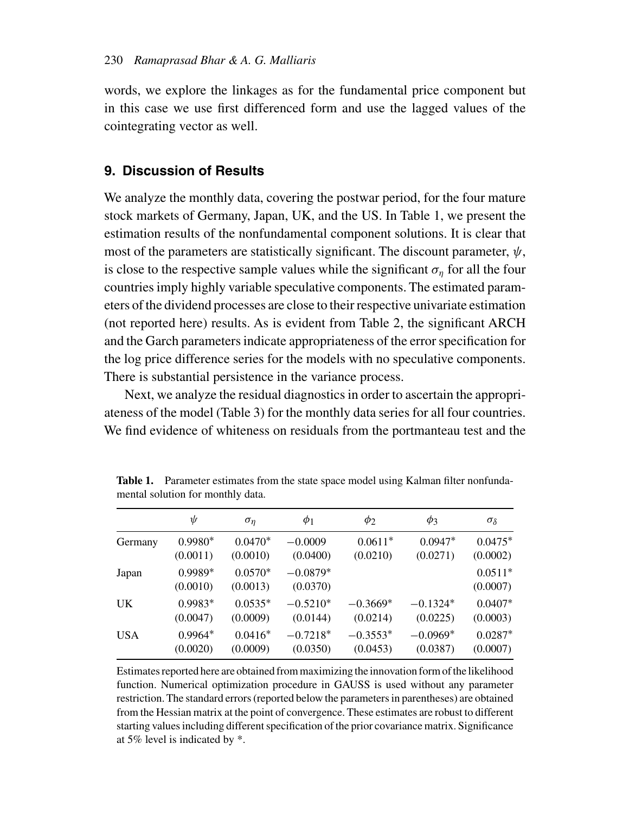words, we explore the linkages as for the fundamental price component but in this case we use first differenced form and use the lagged values of the cointegrating vector as well.

#### **9. Discussion of Results**

We analyze the monthly data, covering the postwar period, for the four mature stock markets of Germany, Japan, UK, and the US. In Table 1, we present the estimation results of the nonfundamental component solutions. It is clear that most of the parameters are statistically significant. The discount parameter,  $\psi$ , is close to the respective sample values while the significant  $\sigma_n$  for all the four countries imply highly variable speculative components. The estimated parameters of the dividend processes are close to their respective univariate estimation (not reported here) results. As is evident from Table 2, the significant ARCH and the Garch parameters indicate appropriateness of the error specification for the log price difference series for the models with no speculative components. There is substantial persistence in the variance process.

Next, we analyze the residual diagnostics in order to ascertain the appropriateness of the model (Table 3) for the monthly data series for all four countries. We find evidence of whiteness on residuals from the portmanteau test and the

|            | $\psi$                | $\sigma_n$            | $\phi_1$               | $\phi_{2}$ | $\phi_3$   | $\sigma_{\delta}$     |
|------------|-----------------------|-----------------------|------------------------|------------|------------|-----------------------|
| Germany    | $0.9980*$             | $0.0470*$             | $-0.0009$              | $0.0611*$  | $0.0947*$  | $0.0475*$             |
|            | (0.0011)              | (0.0010)              | (0.0400)               | (0.0210)   | (0.0271)   | (0.0002)              |
| Japan      | $0.9989*$<br>(0.0010) | $0.0570*$<br>(0.0013) | $-0.0879*$<br>(0.0370) |            |            | $0.0511*$<br>(0.0007) |
| UK         | $0.9983*$             | $0.0535*$             | $-0.5210*$             | $-0.3669*$ | $-0.1324*$ | $0.0407*$             |
|            | (0.0047)              | (0.0009)              | (0.0144)               | (0.0214)   | (0.0225)   | (0.0003)              |
| <b>USA</b> | $0.9964*$             | $0.0416*$             | $-0.7218*$             | $-0.3553*$ | $-0.0969*$ | $0.0287*$             |
|            | (0.0020)              | (0.0009)              | (0.0350)               | (0.0453)   | (0.0387)   | (0.0007)              |

Table 1. Parameter estimates from the state space model using Kalman filter nonfundamental solution for monthly data.

Estimates reported here are obtained from maximizing the innovation form of the likelihood function. Numerical optimization procedure in GAUSS is used without any parameter restriction. The standard errors (reported below the parameters in parentheses) are obtained from the Hessian matrix at the point of convergence. These estimates are robust to different starting values including different specification of the prior covariance matrix. Significance at 5% level is indicated by \*.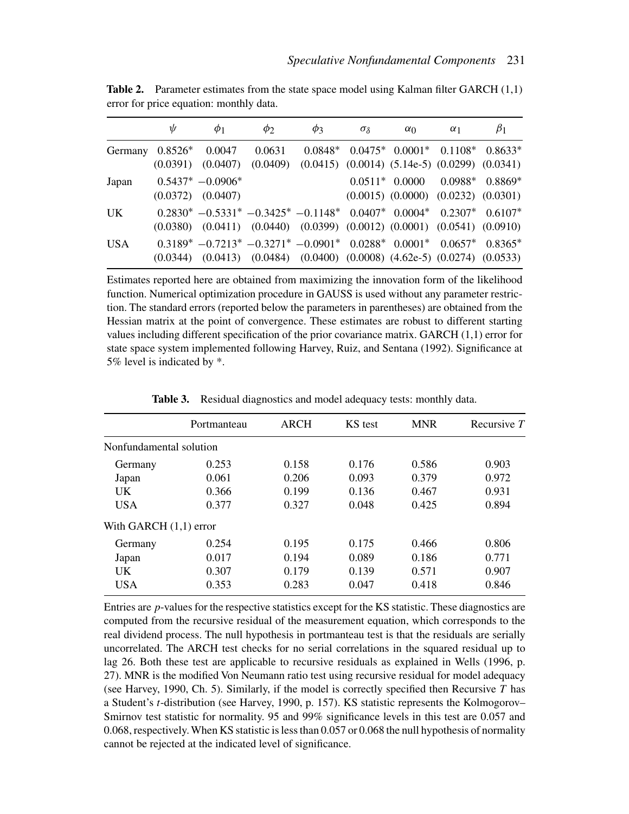|            | $\psi$            | $\phi_1$                                       | $\phi$ | $\phi_3$                                                                                                                                                                            | $\sigma_{\delta}$ | $\alpha_0$                                                                      | $\alpha_1$ | $\beta_1$ |
|------------|-------------------|------------------------------------------------|--------|-------------------------------------------------------------------------------------------------------------------------------------------------------------------------------------|-------------------|---------------------------------------------------------------------------------|------------|-----------|
| Germany    | $0.8526^*$ 0.0047 |                                                | 0.0631 | $(0.0391)$ $(0.0407)$ $(0.0409)$ $(0.0415)$ $(0.0014)$ $(5.14e-5)$ $(0.0299)$ $(0.0341)$                                                                                            |                   | $0.0848*$ $0.0475*$ $0.0001*$ $0.1108*$ $0.8633*$                               |            |           |
| Japan      |                   | $0.5437^* - 0.0906^*$<br>$(0.0372)$ $(0.0407)$ |        |                                                                                                                                                                                     |                   | $0.0511* 0.0000 0.0988* 0.8869*$<br>$(0.0015)$ $(0.0000)$ $(0.0232)$ $(0.0301)$ |            |           |
| UK.        |                   |                                                |        | $0.2830^* - 0.5331^* - 0.3425^* - 0.1148^*$ $0.0407^*$ $0.0004^*$ $0.2307^*$ $0.6107^*$<br>$(0.0380)$ $(0.0411)$ $(0.0440)$ $(0.0399)$ $(0.0012)$ $(0.0001)$ $(0.0541)$ $(0.0910)$  |                   |                                                                                 |            |           |
| <b>USA</b> |                   |                                                |        | $0.3189^* - 0.7213^* - 0.3271^* - 0.0901^*$ $0.0288^*$ $0.0001^*$ $0.0657^*$ $0.8365^*$<br>$(0.0344)$ $(0.0413)$ $(0.0484)$ $(0.0400)$ $(0.0008)$ $(4.62e-5)$ $(0.0274)$ $(0.0533)$ |                   |                                                                                 |            |           |

**Table 2.** Parameter estimates from the state space model using Kalman filter GARCH (1,1) error for price equation: monthly data.

Estimates reported here are obtained from maximizing the innovation form of the likelihood function. Numerical optimization procedure in GAUSS is used without any parameter restriction. The standard errors (reported below the parameters in parentheses) are obtained from the Hessian matrix at the point of convergence. These estimates are robust to different starting values including different specification of the prior covariance matrix. GARCH (1,1) error for state space system implemented following Harvey, Ruiz, and Sentana (1992). Significance at 5% level is indicated by \*.

|                          | Portmanteau | <b>ARCH</b> | KS test | <b>MNR</b> | Recursive T |
|--------------------------|-------------|-------------|---------|------------|-------------|
| Nonfundamental solution  |             |             |         |            |             |
| Germany                  | 0.253       | 0.158       | 0.176   | 0.586      | 0.903       |
| Japan                    | 0.061       | 0.206       | 0.093   | 0.379      | 0.972       |
| UK                       | 0.366       | 0.199       | 0.136   | 0.467      | 0.931       |
| <b>USA</b>               | 0.377       | 0.327       | 0.048   | 0.425      | 0.894       |
| With GARCH $(1,1)$ error |             |             |         |            |             |
| Germany                  | 0.254       | 0.195       | 0.175   | 0.466      | 0.806       |
| Japan                    | 0.017       | 0.194       | 0.089   | 0.186      | 0.771       |
| UK                       | 0.307       | 0.179       | 0.139   | 0.571      | 0.907       |
| <b>USA</b>               | 0.353       | 0.283       | 0.047   | 0.418      | 0.846       |
|                          |             |             |         |            |             |

**Table 3.** Residual diagnostics and model adequacy tests: monthly data.

Entries are p-values for the respective statistics except for the KS statistic. These diagnostics are computed from the recursive residual of the measurement equation, which corresponds to the real dividend process. The null hypothesis in portmanteau test is that the residuals are serially uncorrelated. The ARCH test checks for no serial correlations in the squared residual up to lag 26. Both these test are applicable to recursive residuals as explained in Wells (1996, p. 27). MNR is the modified Von Neumann ratio test using recursive residual for model adequacy (see Harvey, 1990, Ch. 5). Similarly, if the model is correctly specified then Recursive  $T$  has a Student's t-distribution (see Harvey, 1990, p. 157). KS statistic represents the Kolmogorov– Smirnov test statistic for normality. 95 and 99% significance levels in this test are 0.057 and 0.068, respectively. When KS statistic is less than 0.057 or 0.068 the null hypothesis of normality cannot be rejected at the indicated level of significance.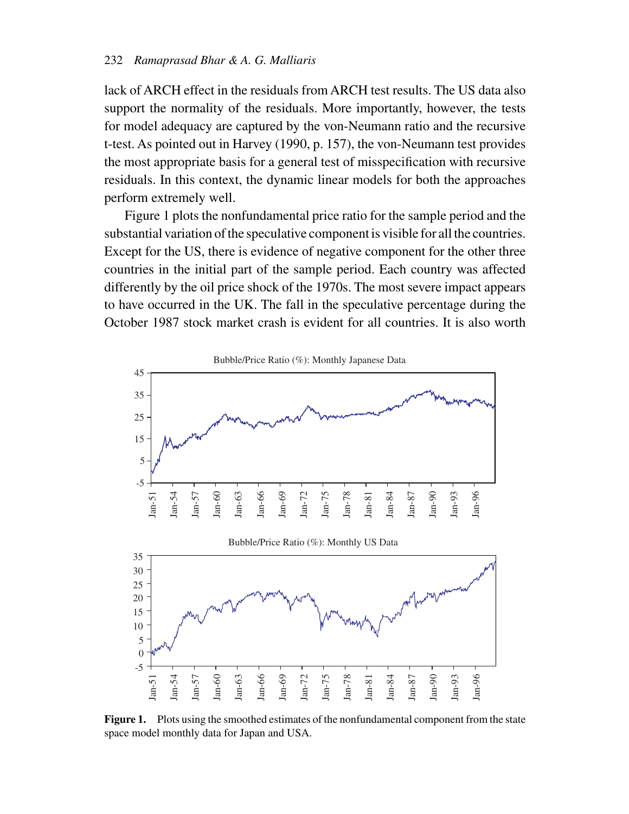lack of ARCH effect in the residuals from ARCH test results. The US data also support the normality of the residuals. More importantly, however, the tests for model adequacy are captured by the von-Neumann ratio and the recursive t-test. As pointed out in Harvey (1990, p. 157), the von-Neumann test provides the most appropriate basis for a general test of misspecification with recursive residuals. In this context, the dynamic linear models for both the approaches perform extremely well.

Figure 1 plots the nonfundamental price ratio for the sample period and the substantial variation of the speculative component is visible for all the countries. Except for the US, there is evidence of negative component for the other three countries in the initial part of the sample period. Each country was affected differently by the oil price shock of the 1970s. The most severe impact appears to have occurred in the UK. The fall in the speculative percentage during the October 1987 stock market crash is evident for all countries. It is also worth



**Figure 1.** Plots using the smoothed estimates of the nonfundamental component from the state space model monthly data for Japan and USA.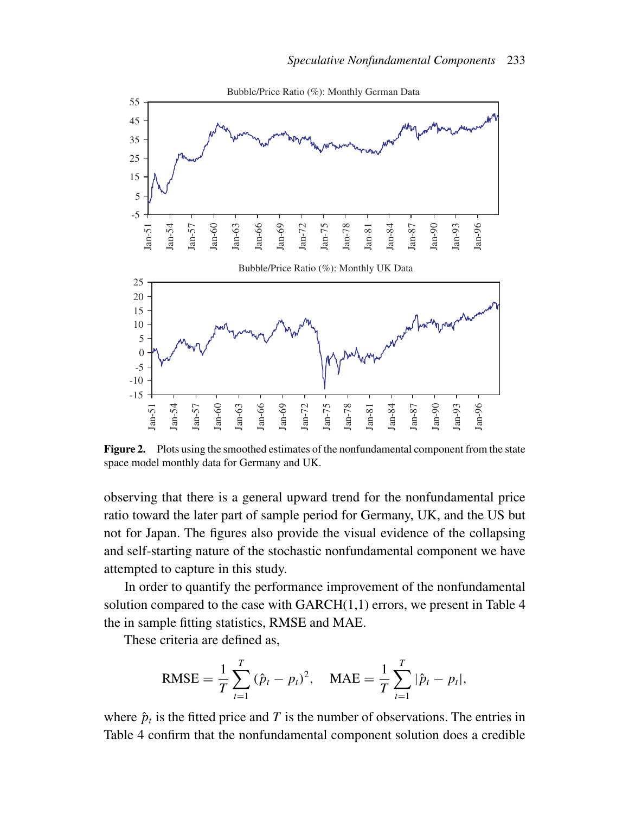

**Figure 2.** Plots using the smoothed estimates of the nonfundamental component from the state space model monthly data for Germany and UK.

observing that there is a general upward trend for the nonfundamental price ratio toward the later part of sample period for Germany, UK, and the US but not for Japan. The figures also provide the visual evidence of the collapsing and self-starting nature of the stochastic nonfundamental component we have attempted to capture in this study.

In order to quantify the performance improvement of the nonfundamental solution compared to the case with  $GARCH(1,1)$  errors, we present in Table 4 the in sample fitting statistics, RMSE and MAE.

These criteria are defined as,

RMSE = 
$$
\frac{1}{T} \sum_{t=1}^{T} (\hat{p}_t - p_t)^2
$$
, MAE =  $\frac{1}{T} \sum_{t=1}^{T} |\hat{p}_t - p_t|$ ,

where  $\hat{p}_t$  is the fitted price and T is the number of observations. The entries in Table 4 confirm that the nonfundamental component solution does a credible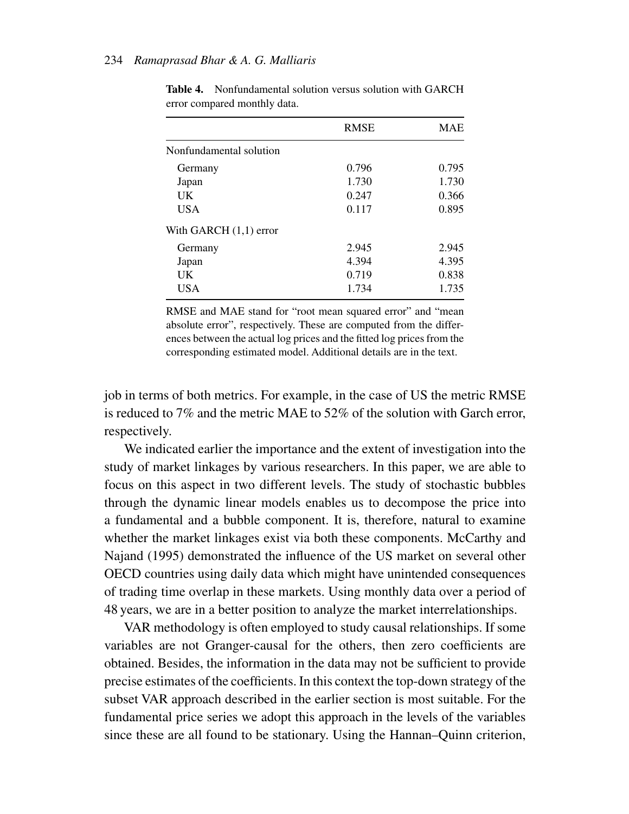| <b>RMSE</b> | <b>MAE</b> |
|-------------|------------|
|             |            |
| 0.796       | 0.795      |
| 1.730       | 1.730      |
| 0.247       | 0.366      |
| 0.117       | 0.895      |
|             |            |
| 2.945       | 2.945      |
| 4.394       | 4.395      |
| 0.719       | 0.838      |
| 1.734       | 1.735      |
|             |            |

**Table 4.** Nonfundamental solution versus solution with GARCH error compared monthly data.

RMSE and MAE stand for "root mean squared error" and "mean absolute error", respectively. These are computed from the differences between the actual log prices and the fitted log prices from the corresponding estimated model. Additional details are in the text.

job in terms of both metrics. For example, in the case of US the metric RMSE is reduced to 7% and the metric MAE to 52% of the solution with Garch error, respectively.

We indicated earlier the importance and the extent of investigation into the study of market linkages by various researchers. In this paper, we are able to focus on this aspect in two different levels. The study of stochastic bubbles through the dynamic linear models enables us to decompose the price into a fundamental and a bubble component. It is, therefore, natural to examine whether the market linkages exist via both these components. McCarthy and Najand (1995) demonstrated the influence of the US market on several other OECD countries using daily data which might have unintended consequences of trading time overlap in these markets. Using monthly data over a period of 48 years, we are in a better position to analyze the market interrelationships.

VAR methodology is often employed to study causal relationships. If some variables are not Granger-causal for the others, then zero coefficients are obtained. Besides, the information in the data may not be sufficient to provide precise estimates of the coefficients. In this context the top-down strategy of the subset VAR approach described in the earlier section is most suitable. For the fundamental price series we adopt this approach in the levels of the variables since these are all found to be stationary. Using the Hannan–Quinn criterion,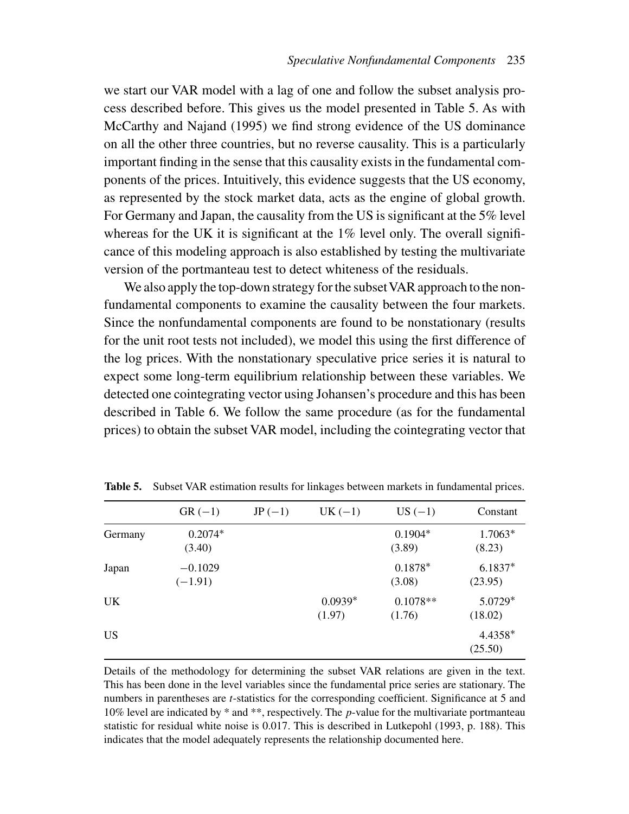we start our VAR model with a lag of one and follow the subset analysis process described before. This gives us the model presented in Table 5. As with McCarthy and Najand (1995) we find strong evidence of the US dominance on all the other three countries, but no reverse causality. This is a particularly important finding in the sense that this causality exists in the fundamental components of the prices. Intuitively, this evidence suggests that the US economy, as represented by the stock market data, acts as the engine of global growth. For Germany and Japan, the causality from the US is significant at the 5% level whereas for the UK it is significant at the 1% level only. The overall significance of this modeling approach is also established by testing the multivariate version of the portmanteau test to detect whiteness of the residuals.

We also apply the top-down strategy for the subset VAR approach to the nonfundamental components to examine the causality between the four markets. Since the nonfundamental components are found to be nonstationary (results for the unit root tests not included), we model this using the first difference of the log prices. With the nonstationary speculative price series it is natural to expect some long-term equilibrium relationship between these variables. We detected one cointegrating vector using Johansen's procedure and this has been described in Table 6. We follow the same procedure (as for the fundamental prices) to obtain the subset VAR model, including the cointegrating vector that

|           | $GR(-1)$               | $JP(-1)$ | $UK(-1)$            | $US(-1)$             | Constant             |
|-----------|------------------------|----------|---------------------|----------------------|----------------------|
| Germany   | $0.2074*$<br>(3.40)    |          |                     | $0.1904*$<br>(3.89)  | 1.7063*<br>(8.23)    |
| Japan     | $-0.1029$<br>$(-1.91)$ |          |                     | $0.1878*$<br>(3.08)  | $6.1837*$<br>(23.95) |
| <b>UK</b> |                        |          | $0.0939*$<br>(1.97) | $0.1078**$<br>(1.76) | 5.0729*<br>(18.02)   |
| <b>US</b> |                        |          |                     |                      | 4.4358*<br>(25.50)   |

**Table 5.** Subset VAR estimation results for linkages between markets in fundamental prices.

Details of the methodology for determining the subset VAR relations are given in the text. This has been done in the level variables since the fundamental price series are stationary. The numbers in parentheses are t-statistics for the corresponding coefficient. Significance at 5 and 10% level are indicated by  $*$  and  $**$ , respectively. The p-value for the multivariate portmanteau statistic for residual white noise is 0.017. This is described in Lutkepohl (1993, p. 188). This indicates that the model adequately represents the relationship documented here.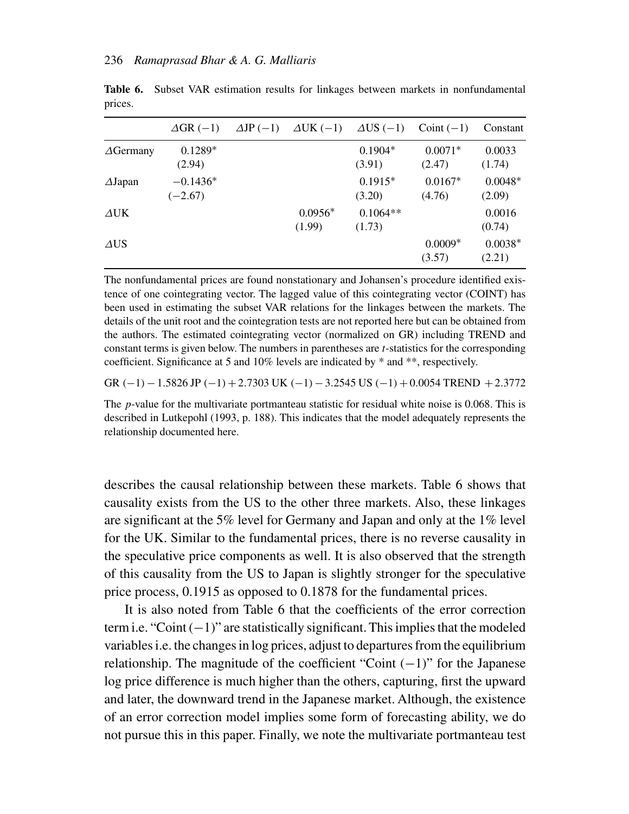|                     | $\Delta$ GR $(-1)$      | $\Delta$ JP (-1) $\Delta$ UK (-1) $\Delta$ US (-1) Coint (-1) |                      |                     | Constant            |
|---------------------|-------------------------|---------------------------------------------------------------|----------------------|---------------------|---------------------|
| $\triangle$ Germany | $0.1289*$<br>(2.94)     |                                                               | $0.1904*$<br>(3.91)  | $0.0071*$<br>(2.47) | 0.0033<br>(1.74)    |
| $\triangle$ Japan   | $-0.1436*$<br>$(-2.67)$ |                                                               | $0.1915*$<br>(3.20)  | $0.0167*$<br>(4.76) | $0.0048*$<br>(2.09) |
| $\Delta$ UK         |                         | $0.0956*$<br>(1.99)                                           | $0.1064**$<br>(1.73) |                     | 0.0016<br>(0.74)    |
| $\Delta$ US         |                         |                                                               |                      | $0.0009*$<br>(3.57) | $0.0038*$<br>(2.21) |

**Table 6.** Subset VAR estimation results for linkages between markets in nonfundamental prices.

The nonfundamental prices are found nonstationary and Johansen's procedure identified existence of one cointegrating vector. The lagged value of this cointegrating vector (COINT) has been used in estimating the subset VAR relations for the linkages between the markets. The details of the unit root and the cointegration tests are not reported here but can be obtained from the authors. The estimated cointegrating vector (normalized on GR) including TREND and constant terms is given below. The numbers in parentheses are  $t$ -statistics for the corresponding coefficient. Significance at 5 and 10% levels are indicated by \* and \*\*, respectively.

GR  $(-1)$  – 1.5826 JP  $(-1)$  + 2.7303 UK  $(-1)$  – 3.2545 US  $(-1)$  + 0.0054 TREND + 2.3772

The *p*-value for the multivariate portmanteau statistic for residual white noise is 0.068. This is described in Lutkepohl (1993, p. 188). This indicates that the model adequately represents the relationship documented here.

describes the causal relationship between these markets. Table 6 shows that causality exists from the US to the other three markets. Also, these linkages are significant at the 5% level for Germany and Japan and only at the 1% level for the UK. Similar to the fundamental prices, there is no reverse causality in the speculative price components as well. It is also observed that the strength of this causality from the US to Japan is slightly stronger for the speculative price process, 0.1915 as opposed to 0.1878 for the fundamental prices.

It is also noted from Table 6 that the coefficients of the error correction term i.e. "Coint  $(-1)$ " are statistically significant. This implies that the modeled variables i.e. the changes in log prices, adjust to departures from the equilibrium relationship. The magnitude of the coefficient "Coint  $(-1)$ " for the Japanese log price difference is much higher than the others, capturing, first the upward and later, the downward trend in the Japanese market. Although, the existence of an error correction model implies some form of forecasting ability, we do not pursue this in this paper. Finally, we note the multivariate portmanteau test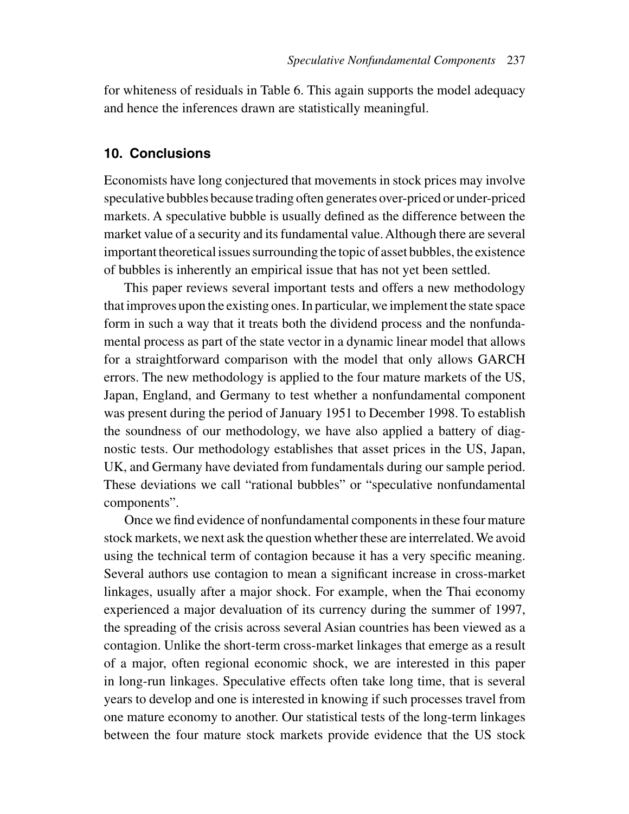for whiteness of residuals in Table 6. This again supports the model adequacy and hence the inferences drawn are statistically meaningful.

#### **10. Conclusions**

Economists have long conjectured that movements in stock prices may involve speculative bubbles because trading often generates over-priced or under-priced markets. A speculative bubble is usually defined as the difference between the market value of a security and its fundamental value.Although there are several important theoretical issues surrounding the topic of asset bubbles, the existence of bubbles is inherently an empirical issue that has not yet been settled.

This paper reviews several important tests and offers a new methodology that improves upon the existing ones. In particular, we implement the state space form in such a way that it treats both the dividend process and the nonfundamental process as part of the state vector in a dynamic linear model that allows for a straightforward comparison with the model that only allows GARCH errors. The new methodology is applied to the four mature markets of the US, Japan, England, and Germany to test whether a nonfundamental component was present during the period of January 1951 to December 1998. To establish the soundness of our methodology, we have also applied a battery of diagnostic tests. Our methodology establishes that asset prices in the US, Japan, UK, and Germany have deviated from fundamentals during our sample period. These deviations we call "rational bubbles" or "speculative nonfundamental components".

Once we find evidence of nonfundamental components in these four mature stock markets, we next ask the question whether these are interrelated. We avoid using the technical term of contagion because it has a very specific meaning. Several authors use contagion to mean a significant increase in cross-market linkages, usually after a major shock. For example, when the Thai economy experienced a major devaluation of its currency during the summer of 1997, the spreading of the crisis across several Asian countries has been viewed as a contagion. Unlike the short-term cross-market linkages that emerge as a result of a major, often regional economic shock, we are interested in this paper in long-run linkages. Speculative effects often take long time, that is several years to develop and one is interested in knowing if such processes travel from one mature economy to another. Our statistical tests of the long-term linkages between the four mature stock markets provide evidence that the US stock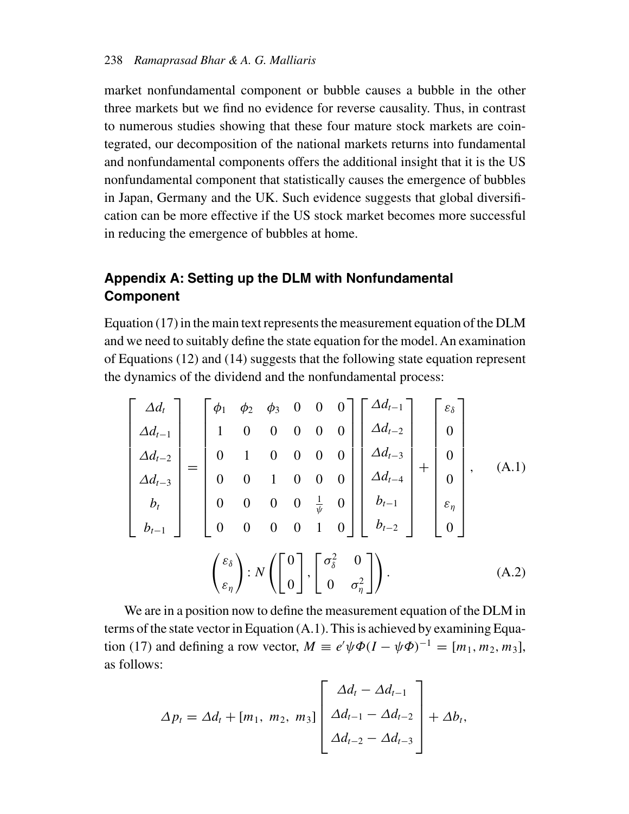market nonfundamental component or bubble causes a bubble in the other three markets but we find no evidence for reverse causality. Thus, in contrast to numerous studies showing that these four mature stock markets are cointegrated, our decomposition of the national markets returns into fundamental and nonfundamental components offers the additional insight that it is the US nonfundamental component that statistically causes the emergence of bubbles in Japan, Germany and the UK. Such evidence suggests that global diversification can be more effective if the US stock market becomes more successful in reducing the emergence of bubbles at home.

## **Appendix A: Setting up the DLM with Nonfundamental Component**

Equation (17) in the main text represents the measurement equation of the DLM and we need to suitably define the state equation for the model. An examination of Equations (12) and (14) suggests that the following state equation represent the dynamics of the dividend and the nonfundamental process:

$$
\begin{bmatrix}\n\Delta d_{t} \\
\Delta d_{t-1} \\
\Delta d_{t-2} \\
\Delta d_{t-3} \\
b_{t} \\
b_{t-1}\n\end{bmatrix} = \begin{bmatrix}\n\phi_1 & \phi_2 & \phi_3 & 0 & 0 & 0 \\
1 & 0 & 0 & 0 & 0 & 0 \\
0 & 1 & 0 & 0 & 0 & 0 \\
0 & 0 & 1 & 0 & 0 & 0 \\
0 & 0 & 0 & 0 & \frac{1}{\psi} & 0 \\
0 & 0 & 0 & 0 & 1 & 0\n\end{bmatrix} \begin{bmatrix}\n\Delta d_{t-1} \\
\Delta d_{t-2} \\
\Delta d_{t-3} \\
\Delta d_{t-4} \\
b_{t-1} \\
b_{t-1}\n\end{bmatrix} + \begin{bmatrix}\n\varepsilon_{\delta} \\
0 \\
0 \\
\varepsilon_{\eta} \\
0\n\end{bmatrix}, \quad (A.1)
$$
\n
$$
\begin{bmatrix}\n\varepsilon_{\delta} \\
b_{t-1} \\
\varepsilon_{\eta}\n\end{bmatrix} : N \left( \begin{bmatrix} 0 \\ 0 \end{bmatrix}, \begin{bmatrix} \sigma_{\delta}^2 & 0 \\ 0 & \sigma_{\eta}^2 \end{bmatrix} \right).
$$
\n
$$
(A.2)
$$

We are in a position now to define the measurement equation of the DLM in terms of the state vector in Equation (A.1). This is achieved by examining Equation (17) and defining a row vector,  $M \equiv e' \psi \Phi (I - \psi \Phi)^{-1} = [m_1, m_2, m_3]$ , as follows:

$$
\Delta p_t = \Delta d_t + [m_1, m_2, m_3] \begin{bmatrix} \Delta d_t - \Delta d_{t-1} \\ \Delta d_{t-1} - \Delta d_{t-2} \\ \Delta d_{t-2} - \Delta d_{t-3} \end{bmatrix} + \Delta b_t,
$$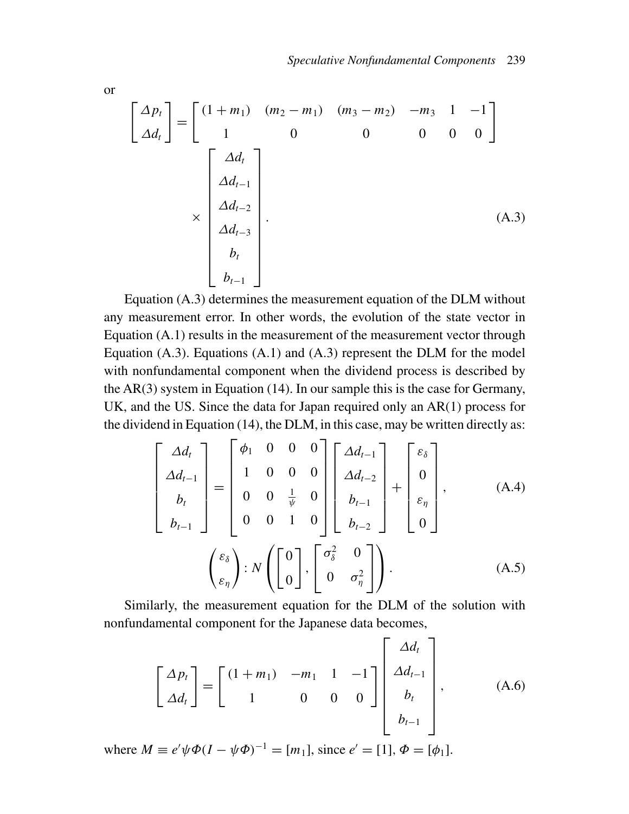$$
\begin{bmatrix}\n\Delta p_t \\
\Delta d_t\n\end{bmatrix} = \begin{bmatrix}\n(1+m_1) & (m_2 - m_1) & (m_3 - m_2) & -m_3 & 1 & -1 \\
1 & 0 & 0 & 0 & 0 & 0\n\end{bmatrix}
$$
\n
$$
\times \begin{bmatrix}\n\Delta d_t \\
\Delta d_{t-1} \\
\Delta d_{t-2} \\
\Delta d_{t-3} \\
b_t \\
b_{t-1}\n\end{bmatrix}.
$$
\n(A.3)

Equation (A.3) determines the measurement equation of the DLM without any measurement error. In other words, the evolution of the state vector in Equation (A.1) results in the measurement of the measurement vector through Equation (A.3). Equations (A.1) and (A.3) represent the DLM for the model with nonfundamental component when the dividend process is described by the AR(3) system in Equation (14). In our sample this is the case for Germany, UK, and the US. Since the data for Japan required only an AR(1) process for the dividend in Equation (14), the DLM, in this case, may be written directly as:

$$
\begin{bmatrix}\n\Delta d_t \\
\Delta d_{t-1} \\
b_t \\
b_{t-1}\n\end{bmatrix} =\n\begin{bmatrix}\n\phi_1 & 0 & 0 & 0 \\
1 & 0 & 0 & 0 \\
0 & 0 & \frac{1}{\psi} & 0 \\
0 & 0 & 1 & 0 \\
0 & 0 & 1 & 0\n\end{bmatrix}\n\begin{bmatrix}\n\Delta d_{t-1} \\
\Delta d_{t-2} \\
b_{t-1} \\
b_{t-2}\n\end{bmatrix} +\n\begin{bmatrix}\n\varepsilon_\delta \\
0 \\
\varepsilon_\eta \\
0\n\end{bmatrix},
$$
\n(A.4)\n
$$
\begin{pmatrix}\n\varepsilon_\delta \\
\varepsilon_\eta\n\end{pmatrix} : N \left( \begin{bmatrix} 0 \\ 0 \end{bmatrix}, \begin{bmatrix} \sigma_\delta^2 & 0 \\ 0 & \sigma_\eta^2 \end{bmatrix} \right).
$$
\n(A.5)

Similarly, the measurement equation for the DLM of the solution with nonfundamental component for the Japanese data becomes,

$$
\begin{bmatrix}\n\Delta p_t \\
\Delta d_t\n\end{bmatrix} = \begin{bmatrix}\n(1+m_1) & -m_1 & 1 & -1 \\
1 & 0 & 0 & 0\n\end{bmatrix} \begin{bmatrix}\n\Delta d_t \\
\Delta d_{t-1} \\
b_t \\
b_{t-1}\n\end{bmatrix},
$$
\n(A.6)\nwhere  $M \equiv e^t \psi \Phi (I - \psi \Phi)^{-1} = [m_1]$ , since  $e^t = [1]$ ,  $\Phi = [\phi_1]$ .

or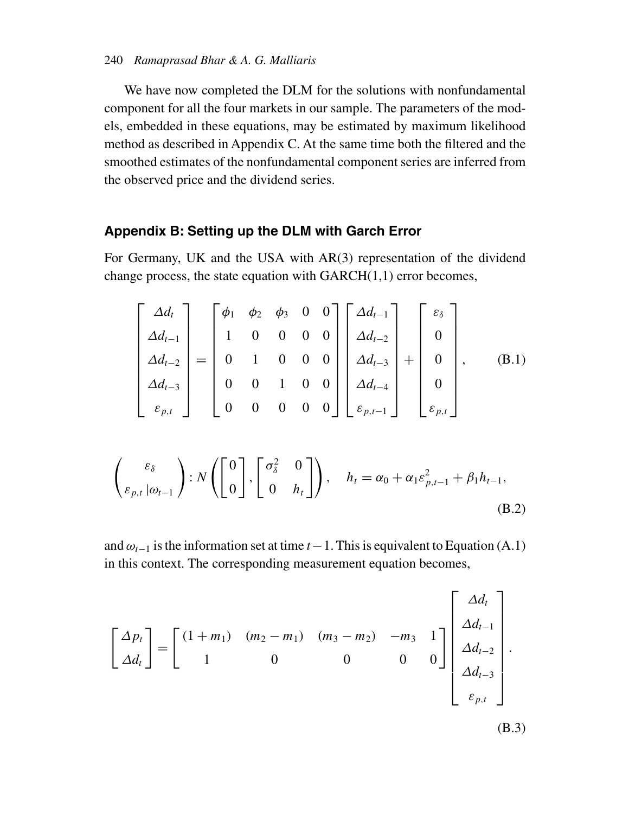#### 240 *Ramaprasad Bhar & A. G. Malliaris*

.

We have now completed the DLM for the solutions with nonfundamental component for all the four markets in our sample. The parameters of the models, embedded in these equations, may be estimated by maximum likelihood method as described in Appendix C. At the same time both the filtered and the smoothed estimates of the nonfundamental component series are inferred from the observed price and the dividend series.

#### **Appendix B: Setting up the DLM with Garch Error**

For Germany, UK and the USA with AR(3) representation of the dividend change process, the state equation with  $GARCH(1,1)$  error becomes,

$$
\begin{bmatrix}\n\Delta d_t \\
\Delta d_{t-1} \\
\Delta d_{t-2} \\
\Delta d_{t-3} \\
\epsilon_{p,t}\n\end{bmatrix} = \begin{bmatrix}\n\phi_1 & \phi_2 & \phi_3 & 0 & 0 \\
1 & 0 & 0 & 0 \\
0 & 1 & 0 & 0 \\
0 & 0 & 1 & 0 \\
0 & 0 & 0 & 0\n\end{bmatrix} \begin{bmatrix}\n\Delta d_{t-1} \\
\Delta d_{t-2} \\
\Delta d_{t-3} \\
\Delta d_{t-4} \\
\delta_{p,t-1}\n\end{bmatrix} + \begin{bmatrix}\n\varepsilon_\delta \\
0 \\
0 \\
0 \\
\varepsilon_{p,t}\n\end{bmatrix},
$$
\n(B.1)

$$
\begin{pmatrix} \varepsilon_{\delta} \\ \varepsilon_{p,t} | \omega_{t-1} \end{pmatrix} : N \left( \begin{bmatrix} 0 \\ 0 \end{bmatrix}, \begin{bmatrix} \sigma_{\delta}^2 & 0 \\ 0 & h_t \end{bmatrix} \right), \quad h_t = \alpha_0 + \alpha_1 \varepsilon_{p,t-1}^2 + \beta_1 h_{t-1},
$$
\n(B.2)

and  $\omega_{t-1}$  is the information set at time  $t-1$ . This is equivalent to Equation (A.1) in this context. The corresponding measurement equation becomes,

$$
\begin{bmatrix}\n\Delta p_t \\
\Delta d_t\n\end{bmatrix} = \begin{bmatrix}\n(1+m_1) & (m_2 - m_1) & (m_3 - m_2) & -m_3 & 1 \\
1 & 0 & 0 & 0 & 0\n\end{bmatrix} \begin{bmatrix}\n\Delta d_t \\
\Delta d_{t-1} \\
\Delta d_{t-2} \\
\Delta d_{t-3} \\
\epsilon_{p,t}\n\end{bmatrix}.
$$

(B.3)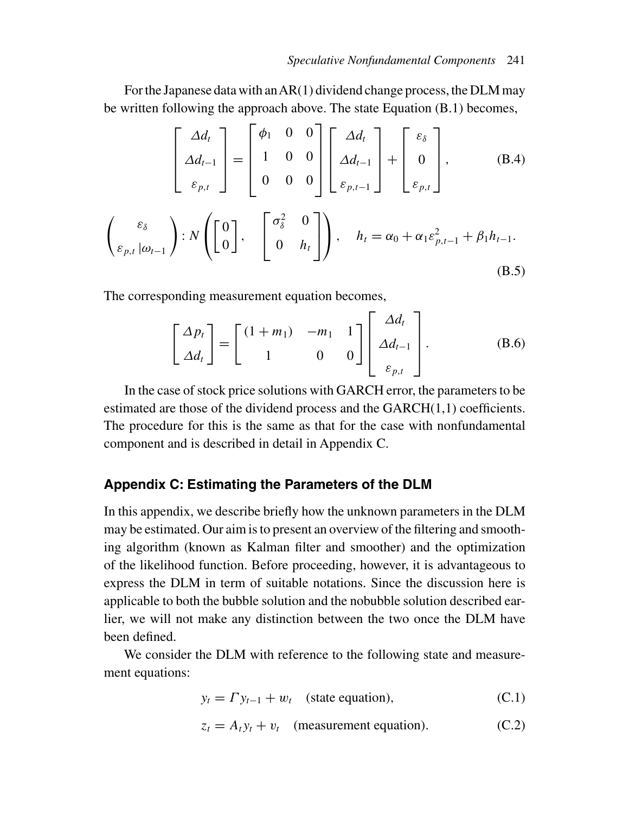For the Japanese data with an  $AR(1)$  dividend change process, the DLM may be written following the approach above. The state Equation (B.1) becomes,

$$
\begin{bmatrix}\n\Delta d_t \\
\Delta d_{t-1} \\
\varepsilon_{p,t}\n\end{bmatrix} = \begin{bmatrix}\n\phi_1 & 0 & 0 \\
1 & 0 & 0 \\
0 & 0 & 0\n\end{bmatrix} \begin{bmatrix}\n\Delta d_t \\
\Delta d_{t-1} \\
\varepsilon_{p,t-1}\n\end{bmatrix} + \begin{bmatrix}\n\varepsilon_\delta \\
0 \\
\varepsilon_{p,t}\n\end{bmatrix},
$$
\n(B.4)\n
$$
\begin{pmatrix}\n\varepsilon_\delta \\
\varepsilon_{p,t} |\omega_{t-1}\n\end{pmatrix} : N \begin{pmatrix}\n0 \\
0\n\end{pmatrix}, \quad \begin{bmatrix}\n\sigma_\delta^2 & 0 \\
0 & h_t\n\end{bmatrix}, \quad h_t = \alpha_0 + \alpha_1 \varepsilon_{p,t-1}^2 + \beta_1 h_{t-1}.
$$
\n(B.5)

The corresponding measurement equation becomes,

$$
\begin{bmatrix}\n\Delta p_t \\
\Delta d_t\n\end{bmatrix} = \begin{bmatrix}\n(1+m_1) & -m_1 & 1 \\
1 & 0 & 0\n\end{bmatrix} \begin{bmatrix}\n\Delta d_t \\
\Delta d_{t-1} \\
\varepsilon_{p,t}\n\end{bmatrix}.
$$
\n(B.6)

In the case of stock price solutions with GARCH error, the parameters to be estimated are those of the dividend process and the GARCH(1,1) coefficients. The procedure for this is the same as that for the case with nonfundamental component and is described in detail in Appendix C.

#### **Appendix C: Estimating the Parameters of the DLM**

In this appendix, we describe briefly how the unknown parameters in the DLM may be estimated. Our aim is to present an overview of the filtering and smoothing algorithm (known as Kalman filter and smoother) and the optimization of the likelihood function. Before proceeding, however, it is advantageous to express the DLM in term of suitable notations. Since the discussion here is applicable to both the bubble solution and the nobubble solution described earlier, we will not make any distinction between the two once the DLM have been defined.

We consider the DLM with reference to the following state and measurement equations:

$$
y_t = \Gamma y_{t-1} + w_t \quad \text{(state equation)}, \tag{C.1}
$$

$$
z_t = A_t y_t + v_t \quad \text{(measurement equation)}.\tag{C.2}
$$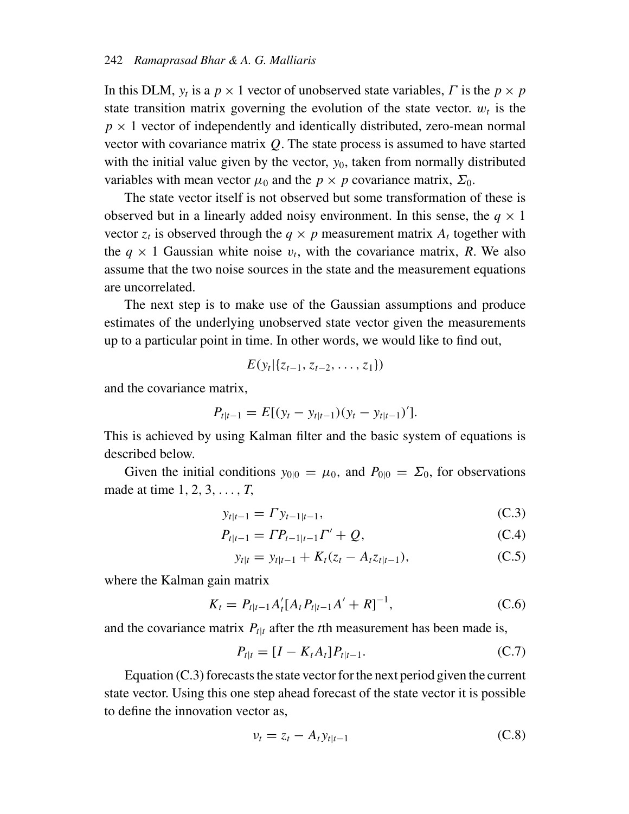In this DLM,  $y_t$  is a  $p \times 1$  vector of unobserved state variables,  $\Gamma$  is the  $p \times p$ state transition matrix governing the evolution of the state vector.  $w_t$  is the  $p \times 1$  vector of independently and identically distributed, zero-mean normal vector with covariance matrix Q. The state process is assumed to have started with the initial value given by the vector,  $y_0$ , taken from normally distributed variables with mean vector  $\mu_0$  and the  $p \times p$  covariance matrix,  $\Sigma_0$ .

The state vector itself is not observed but some transformation of these is observed but in a linearly added noisy environment. In this sense, the  $q \times 1$ vector  $z_t$  is observed through the  $q \times p$  measurement matrix  $A_t$  together with the  $q \times 1$  Gaussian white noise  $v_t$ , with the covariance matrix, R. We also assume that the two noise sources in the state and the measurement equations are uncorrelated.

The next step is to make use of the Gaussian assumptions and produce estimates of the underlying unobserved state vector given the measurements up to a particular point in time. In other words, we would like to find out,

$$
E(y_t | \{z_{t-1}, z_{t-2}, \ldots, z_1\})
$$

and the covariance matrix,

$$
P_{t|t-1} = E[(y_t - y_{t|t-1})(y_t - y_{t|t-1})'].
$$

This is achieved by using Kalman filter and the basic system of equations is described below.

Given the initial conditions  $y_{0|0} = \mu_0$ , and  $P_{0|0} = \Sigma_0$ , for observations made at time  $1, 2, 3, \ldots, T$ ,

$$
y_{t|t-1} = \Gamma y_{t-1|t-1}, \tag{C.3}
$$

$$
P_{t|t-1} = \Gamma P_{t-1|t-1} \Gamma' + Q, \tag{C.4}
$$

$$
y_{t|t} = y_{t|t-1} + K_t(z_t - A_t z_{t|t-1}),
$$
 (C.5)

where the Kalman gain matrix

$$
K_t = P_{t|t-1} A_t' [A_t P_{t|t-1} A' + R]^{-1}, \tag{C.6}
$$

and the covariance matrix  $P_{t|t}$  after the *t*th measurement has been made is,

$$
P_{t|t} = [I - K_t A_t] P_{t|t-1}.
$$
 (C.7)

Equation (C.3) forecasts the state vector for the next period given the current state vector. Using this one step ahead forecast of the state vector it is possible to define the innovation vector as,

$$
v_t = z_t - A_t y_{t|t-1}
$$
 (C.8)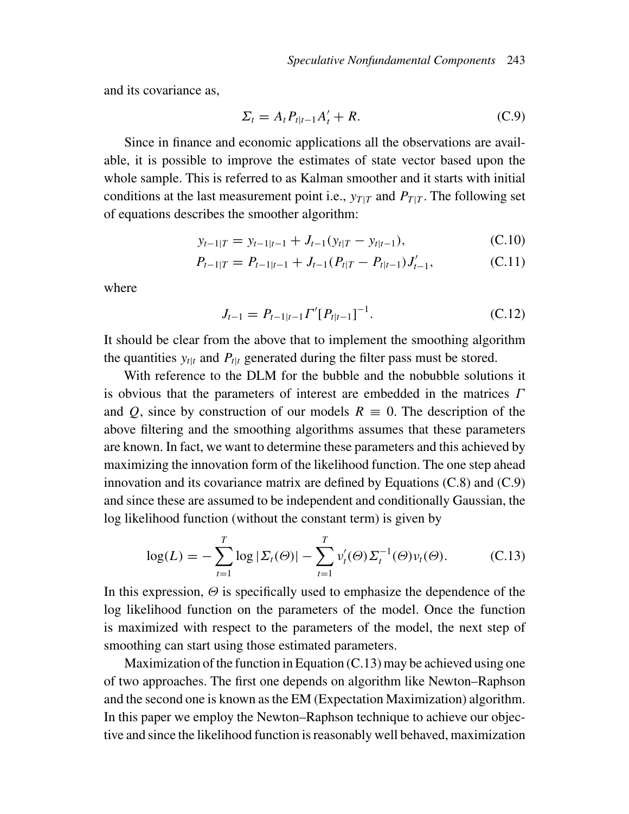and its covariance as,

$$
\Sigma_t = A_t P_{t|t-1} A'_t + R. \tag{C.9}
$$

Since in finance and economic applications all the observations are available, it is possible to improve the estimates of state vector based upon the whole sample. This is referred to as Kalman smoother and it starts with initial conditions at the last measurement point i.e.,  $y_{T|T}$  and  $P_{T|T}$ . The following set of equations describes the smoother algorithm:

$$
y_{t-1|T} = y_{t-1|t-1} + J_{t-1}(y_{t|T} - y_{t|t-1}),
$$
\n(C.10)

$$
P_{t-1|T} = P_{t-1|t-1} + J_{t-1}(P_{t|T} - P_{t|t-1})J'_{t-1},
$$
\n(C.11)

where

$$
J_{t-1} = P_{t-1|t-1} \Gamma'[P_{t|t-1}]^{-1}.
$$
 (C.12)

It should be clear from the above that to implement the smoothing algorithm the quantities  $y_{t|t}$  and  $P_{t|t}$  generated during the filter pass must be stored.

With reference to the DLM for the bubble and the nobubble solutions it is obvious that the parameters of interest are embedded in the matrices  $\Gamma$ and Q, since by construction of our models  $R \equiv 0$ . The description of the above filtering and the smoothing algorithms assumes that these parameters are known. In fact, we want to determine these parameters and this achieved by maximizing the innovation form of the likelihood function. The one step ahead innovation and its covariance matrix are defined by Equations (C.8) and (C.9) and since these are assumed to be independent and conditionally Gaussian, the log likelihood function (without the constant term) is given by

$$
\log(L) = -\sum_{t=1}^{T} \log |\Sigma_t(\Theta)| - \sum_{t=1}^{T} \nu_t'(\Theta) \Sigma_t^{-1}(\Theta) \nu_t(\Theta). \tag{C.13}
$$

In this expression,  $\Theta$  is specifically used to emphasize the dependence of the log likelihood function on the parameters of the model. Once the function is maximized with respect to the parameters of the model, the next step of smoothing can start using those estimated parameters.

Maximization of the function in Equation (C.13) may be achieved using one of two approaches. The first one depends on algorithm like Newton–Raphson and the second one is known as the EM (Expectation Maximization) algorithm. In this paper we employ the Newton–Raphson technique to achieve our objective and since the likelihood function is reasonably well behaved, maximization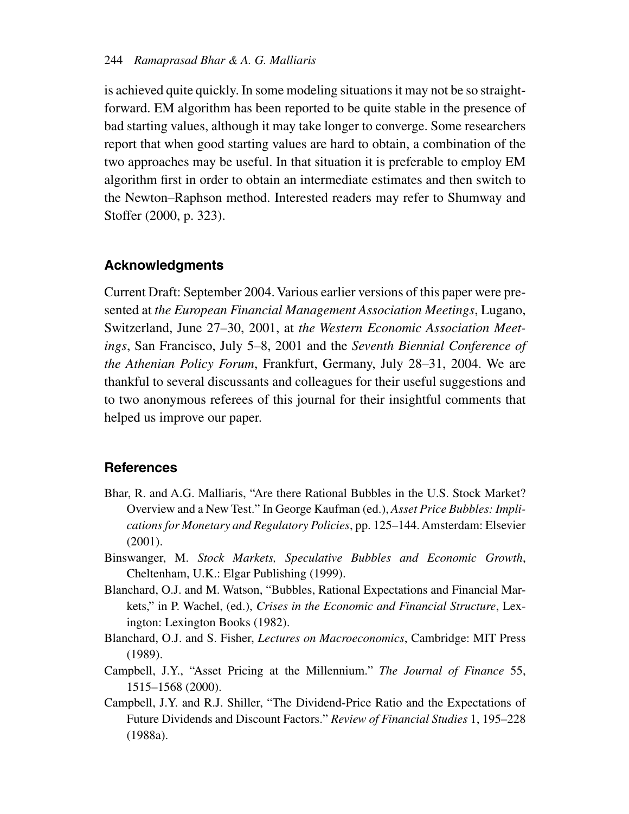is achieved quite quickly. In some modeling situations it may not be so straightforward. EM algorithm has been reported to be quite stable in the presence of bad starting values, although it may take longer to converge. Some researchers report that when good starting values are hard to obtain, a combination of the two approaches may be useful. In that situation it is preferable to employ EM algorithm first in order to obtain an intermediate estimates and then switch to the Newton–Raphson method. Interested readers may refer to Shumway and Stoffer (2000, p. 323).

#### **Acknowledgments**

Current Draft: September 2004. Various earlier versions of this paper were presented at *the European Financial Management Association Meetings*, Lugano, Switzerland, June 27–30, 2001, at *the Western Economic Association Meetings*, San Francisco, July 5–8, 2001 and the *Seventh Biennial Conference of the Athenian Policy Forum*, Frankfurt, Germany, July 28–31, 2004. We are thankful to several discussants and colleagues for their useful suggestions and to two anonymous referees of this journal for their insightful comments that helped us improve our paper.

#### **References**

- Bhar, R. and A.G. Malliaris, "Are there Rational Bubbles in the U.S. Stock Market? Overview and a New Test." In George Kaufman (ed.), *Asset Price Bubbles: Implications for Monetary and Regulatory Policies*, pp. 125–144. Amsterdam: Elsevier (2001).
- Binswanger, M. *Stock Markets, Speculative Bubbles and Economic Growth*, Cheltenham, U.K.: Elgar Publishing (1999).
- Blanchard, O.J. and M. Watson, "Bubbles, Rational Expectations and Financial Markets," in P. Wachel, (ed.), *Crises in the Economic and Financial Structure*, Lexington: Lexington Books (1982).
- Blanchard, O.J. and S. Fisher, *Lectures on Macroeconomics*, Cambridge: MIT Press (1989).
- Campbell, J.Y., "Asset Pricing at the Millennium." *The Journal of Finance* 55, 1515–1568 (2000).
- Campbell, J.Y. and R.J. Shiller, "The Dividend-Price Ratio and the Expectations of Future Dividends and Discount Factors." *Review of Financial Studies* 1, 195–228 (1988a).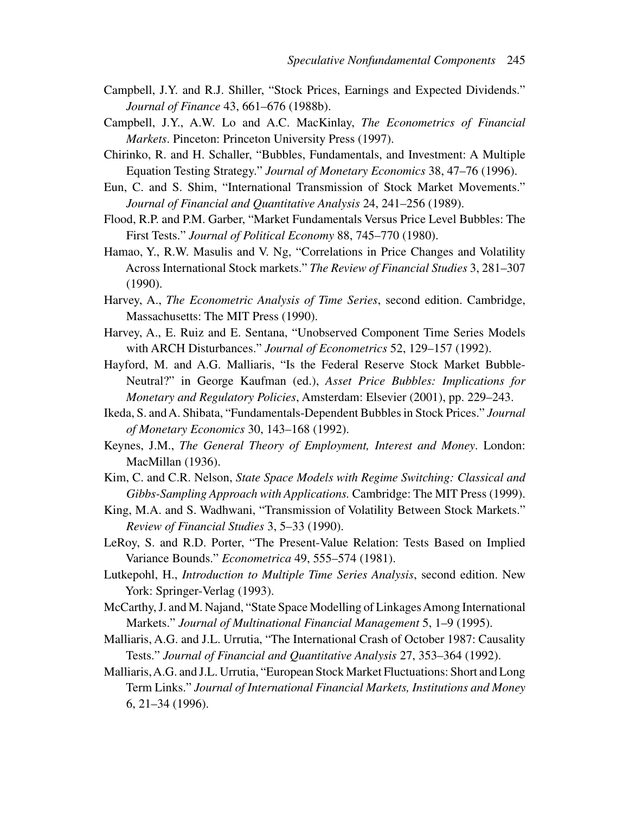- Campbell, J.Y. and R.J. Shiller, "Stock Prices, Earnings and Expected Dividends." *Journal of Finance* 43, 661–676 (1988b).
- Campbell, J.Y., A.W. Lo and A.C. MacKinlay, *The Econometrics of Financial Markets*. Pinceton: Princeton University Press (1997).
- Chirinko, R. and H. Schaller, "Bubbles, Fundamentals, and Investment: A Multiple Equation Testing Strategy." *Journal of Monetary Economics* 38, 47–76 (1996).
- Eun, C. and S. Shim, "International Transmission of Stock Market Movements." *Journal of Financial and Quantitative Analysis* 24, 241–256 (1989).
- Flood, R.P. and P.M. Garber, "Market Fundamentals Versus Price Level Bubbles: The First Tests." *Journal of Political Economy* 88, 745–770 (1980).
- Hamao, Y., R.W. Masulis and V. Ng, "Correlations in Price Changes and Volatility Across International Stock markets." *The Review of Financial Studies* 3, 281–307 (1990).
- Harvey, A., *The Econometric Analysis of Time Series*, second edition. Cambridge, Massachusetts: The MIT Press (1990).
- Harvey, A., E. Ruiz and E. Sentana, "Unobserved Component Time Series Models with ARCH Disturbances." *Journal of Econometrics* 52, 129–157 (1992).
- Hayford, M. and A.G. Malliaris, "Is the Federal Reserve Stock Market Bubble-Neutral?" in George Kaufman (ed.), *Asset Price Bubbles: Implications for Monetary and Regulatory Policies*, Amsterdam: Elsevier (2001), pp. 229–243.
- Ikeda, S. and A. Shibata, "Fundamentals-Dependent Bubbles in Stock Prices." *Journal of Monetary Economics* 30, 143–168 (1992).
- Keynes, J.M., *The General Theory of Employment, Interest and Money*. London: MacMillan (1936).
- Kim, C. and C.R. Nelson, *State Space Models with Regime Switching: Classical and Gibbs-Sampling Approach with Applications.* Cambridge: The MIT Press (1999).
- King, M.A. and S. Wadhwani, "Transmission of Volatility Between Stock Markets." *Review of Financial Studies* 3, 5–33 (1990).
- LeRoy, S. and R.D. Porter, "The Present-Value Relation: Tests Based on Implied Variance Bounds." *Econometrica* 49, 555–574 (1981).
- Lutkepohl, H., *Introduction to Multiple Time Series Analysis*, second edition. New York: Springer-Verlag (1993).
- McCarthy, J. and M. Najand, "State Space Modelling of Linkages Among International Markets." *Journal of Multinational Financial Management* 5, 1–9 (1995).
- Malliaris, A.G. and J.L. Urrutia, "The International Crash of October 1987: Causality Tests." *Journal of Financial and Quantitative Analysis* 27, 353–364 (1992).
- Malliaris,A.G. and J.L. Urrutia, "European Stock Market Fluctuations: Short and Long Term Links." *Journal of International Financial Markets, Institutions and Money* 6, 21–34 (1996).